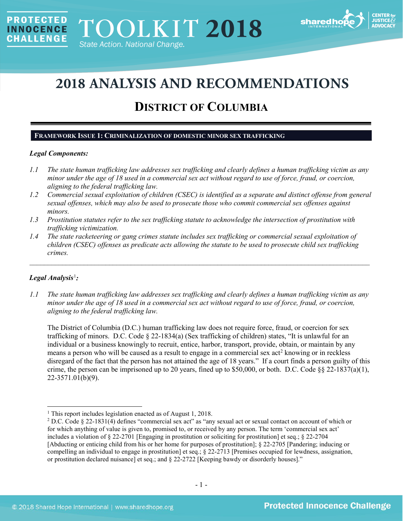

# **2018 ANALYSIS AND RECOMMENDATIONS**

## **DISTRICT OF COLUMBIA**

## **FRAMEWORK ISSUE 1: CRIMINALIZATION OF DOMESTIC MINOR SEX TRAFFICKING**

## *Legal Components:*

**PROTECTED** 

**INNOCENCE CHALLENGE** 

- *1.1 The state human trafficking law addresses sex trafficking and clearly defines a human trafficking victim as any minor under the age of 18 used in a commercial sex act without regard to use of force, fraud, or coercion, aligning to the federal trafficking law.*
- *1.2 Commercial sexual exploitation of children (CSEC) is identified as a separate and distinct offense from general sexual offenses, which may also be used to prosecute those who commit commercial sex offenses against minors.*
- *1.3 Prostitution statutes refer to the sex trafficking statute to acknowledge the intersection of prostitution with trafficking victimization.*
- *1.4 The state racketeering or gang crimes statute includes sex trafficking or commercial sexual exploitation of children (CSEC) offenses as predicate acts allowing the statute to be used to prosecute child sex trafficking crimes.*

\_\_\_\_\_\_\_\_\_\_\_\_\_\_\_\_\_\_\_\_\_\_\_\_\_\_\_\_\_\_\_\_\_\_\_\_\_\_\_\_\_\_\_\_\_\_\_\_\_\_\_\_\_\_\_\_\_\_\_\_\_\_\_\_\_\_\_\_\_\_\_\_\_\_\_\_\_\_\_\_\_\_\_\_\_\_\_\_\_\_\_\_\_\_

## *Legal Analysis*[1](#page-0-0) *:*

 $\overline{\phantom{a}}$ 

*1.1 The state human trafficking law addresses sex trafficking and clearly defines a human trafficking victim as any minor under the age of 18 used in a commercial sex act without regard to use of force, fraud, or coercion, aligning to the federal trafficking law.*

The District of Columbia (D.C.) human trafficking law does not require force, fraud, or coercion for sex trafficking of minors. D.C. Code § 22-1834(a) (Sex trafficking of children) states, "It is unlawful for an individual or a business knowingly to recruit, entice, harbor, transport, provide, obtain, or maintain by any means a person who will be caused as a result to engage in a commercial sex act<sup>[2](#page-0-1)</sup> knowing or in reckless disregard of the fact that the person has not attained the age of 18 years." If a court finds a person guilty of this crime, the person can be imprisoned up to 20 years, fined up to \$50,000, or both. D.C. Code  $\S$ § 22-1837(a)(1), 22-3571.01(b)(9).

<span id="page-0-0"></span><sup>&</sup>lt;sup>1</sup> This report includes legislation enacted as of August 1, 2018.

<span id="page-0-1"></span><sup>2</sup> D.C. Code § 22-1831(4) defines "commercial sex act" as "any sexual act or sexual contact on account of which or for which anything of value is given to, promised to, or received by any person. The term 'commercial sex act' includes a violation of § 22-2701 [Engaging in prostitution or soliciting for prostitution] et seq.; § 22-2704 [Abducting or enticing child from his or her home for purposes of prostitution]; [§ 22-2705](http://www.lexis.com/research/buttonTFLink?_m=885c15e1bec77c1b8d4b0f41eba76d71&_xfercite=%3ccite%20cc%3d%22USA%22%3e%3c%21%5bCDATA%5bD.C.%20Code%20%a7%2022-1831%5d%5d%3e%3c%2fcite%3e&_butType=4&_butStat=0&_butNum=4&_butInline=1&_butinfo=DCCODE%2022-2705&_fmtstr=FULL&docnum=1&_startdoc=1&wchp=dGLzVzz-zSkAA&_md5=7a74531524352acf7dfa8b3ca63c9f3a) [Pandering; inducing or compelling an individual to engage in prostitution] et seq.; § 22-2713 [Premises occupied for lewdness, assignation, or prostitution declared nuisance] et seq.; and § 22-2722 [Keeping bawdy or disorderly houses]."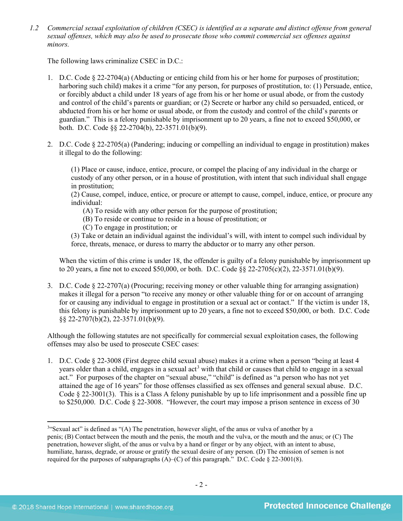*1.2 Commercial sexual exploitation of children (CSEC) is identified as a separate and distinct offense from general sexual offenses, which may also be used to prosecute those who commit commercial sex offenses against minors.*

The following laws criminalize CSEC in D.C.:

- 1. D.C. Code § 22-2704(a) (Abducting or enticing child from his or her home for purposes of prostitution; harboring such child) makes it a crime "for any person, for purposes of prostitution, to: (1) Persuade, entice, or forcibly abduct a child under 18 years of age from his or her home or usual abode, or from the custody and control of the child's parents or guardian; or (2) Secrete or harbor any child so persuaded, enticed, or abducted from his or her home or usual abode, or from the custody and control of the child's parents or guardian." This is a felony punishable by imprisonment up to 20 years, a fine not to exceed \$50,000, or both. D.C. Code §§ 22-2704(b), 22-3571.01(b)(9).
- 2. D.C. Code § 22-2705(a) (Pandering; inducing or compelling an individual to engage in prostitution) makes it illegal to do the following:

(1) Place or cause, induce, entice, procure, or compel the placing of any individual in the charge or custody of any other person, or in a house of prostitution, with intent that such individual shall engage in prostitution;

(2) Cause, compel, induce, entice, or procure or attempt to cause, compel, induce, entice, or procure any individual:

- (A) To reside with any other person for the purpose of prostitution;
- (B) To reside or continue to reside in a house of prostitution; or
- (C) To engage in prostitution; or

(3) Take or detain an individual against the individual's will, with intent to compel such individual by force, threats, menace, or duress to marry the abductor or to marry any other person.

When the victim of this crime is under 18, the offender is guilty of a felony punishable by imprisonment up to 20 years, a fine not to exceed \$50,000, or both. D.C. Code §§ 22-2705(c)(2), 22-3571.01(b)(9).

3. D.C. Code § 22-2707(a) (Procuring; receiving money or other valuable thing for arranging assignation) makes it illegal for a person "to receive any money or other valuable thing for or on account of arranging for or causing any individual to engage in prostitution or a sexual act or contact." If the victim is under 18, this felony is punishable by imprisonment up to 20 years, a fine not to exceed \$50,000, or both. D.C. Code §§ 22-2707(b)(2), 22-3571.01(b)(9).

Although the following statutes are not specifically for commercial sexual exploitation cases, the following offenses may also be used to prosecute CSEC cases:

1. D.C. Code § 22-3008 (First degree child sexual abuse) makes it a crime when a person "being at least 4 years older than a child, engages in a sexual act<sup>[3](#page-1-0)</sup> with that child or causes that child to engage in a sexual act." For purposes of the chapter on "sexual abuse," "child" is defined as "a person who has not yet attained the age of 16 years" for those offenses classified as sex offenses and general sexual abuse. D.C. Code  $\S 22-3001(3)$ . This is a Class A felony punishable by up to life imprisonment and a possible fine up to \$250,000. D.C. Code § 22-3008. "However, the court may impose a prison sentence in excess of 30

<span id="page-1-0"></span><sup>&</sup>lt;sup>3"</sup>Sexual act" is defined as "(A) The penetration, however slight, of the anus or vulva of another by a penis; (B) Contact between the mouth and the penis, the mouth and the vulva, or the mouth and the anus; or (C) The penetration, however slight, of the anus or vulva by a hand or finger or by any object, with an intent to abuse, humiliate, harass, degrade, or arouse or gratify the sexual desire of any person. (D) The emission of semen is not required for the purposes of subparagraphs  $(A)$ – $(C)$  of this paragraph." D.C. Code § 22-3001(8).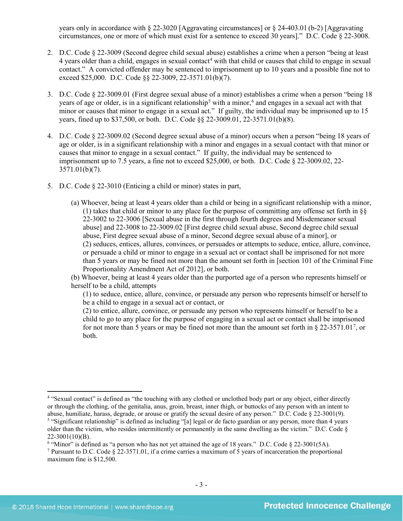years only in accordance with § 22-3020 [Aggravating circumstances] or § 24-403.01 (b-2) [Aggravating circumstances, one or more of which must exist for a sentence to exceed 30 years]." D.C. Code § 22-3008.

- 2. D.C. Code § 22-3009 (Second degree child sexual abuse) establishes a crime when a person "being at least [4](#page-2-0) years older than a child, engages in sexual contact<sup>4</sup> with that child or causes that child to engage in sexual contact." A convicted offender may be sentenced to imprisonment up to 10 years and a possible fine not to exceed \$25,000. D.C. Code §§ 22-3009, 22-3571.01(b)(7).
- 3. D.C. Code § 22-3009.01 (First degree sexual abuse of a minor) establishes a crime when a person "being 18 years of age or older, is in a significant relationship<sup>[5](#page-2-1)</sup> with a minor,<sup>[6](#page-2-2)</sup> and engages in a sexual act with that minor or causes that minor to engage in a sexual act." If guilty, the individual may be imprisoned up to 15 years, fined up to \$37,500, or both. D.C. Code §§ 22-3009.01, 22-3571.01(b)(8).
- 4. D.C. Code § 22-3009.02 (Second degree sexual abuse of a minor) occurs when a person "being 18 years of age or older, is in a significant relationship with a minor and engages in a sexual contact with that minor or causes that minor to engage in a sexual contact." If guilty, the individual may be sentenced to imprisonment up to 7.5 years, a fine not to exceed \$25,000, or both. D.C. Code § 22-3009.02, 22- 3571.01(b)(7).
- 5. D.C. Code § 22-3010 (Enticing a child or minor) states in part,
	- (a) Whoever, being at least 4 years older than a child or being in a significant relationship with a minor, (1) takes that child or minor to any place for the purpose of committing any offense set forth in §§ 22-3002 to 22-3006 [Sexual abuse in the first through fourth degrees and Misdemeanor sexual abuse] and 22-3008 to 22-3009.02 [First degree child sexual abuse, Second degree child sexual abuse, First degree sexual abuse of a minor, Second degree sexual abuse of a minor], or (2) seduces, entices, allures, convinces, or persuades or attempts to seduce, entice, allure, convince, or persuade a child or minor to engage in a sexual act or contact shall be imprisoned for not more than 5 years or may be fined not more than the amount set forth in [section 101 of the Criminal Fine Proportionality Amendment Act of 2012], or both.

(b) Whoever, being at least 4 years older than the purported age of a person who represents himself or herself to be a child, attempts

(1) to seduce, entice, allure, convince, or persuade any person who represents himself or herself to be a child to engage in a sexual act or contact, or

(2) to entice, allure, convince, or persuade any person who represents himself or herself to be a child to go to any place for the purpose of engaging in a sexual act or contact shall be imprisoned for not more than 5 years or may be fined not more than the amount set forth in  $\S 22-3571.01^7$  $\S 22-3571.01^7$  $\S 22-3571.01^7$ , or both.

l

<span id="page-2-1"></span><span id="page-2-0"></span><sup>4</sup> "Sexual contact" is defined as "the touching with any clothed or unclothed body part or any object, either directly or through the clothing, of the genitalia, anus, groin, breast, inner thigh, or buttocks of any person with an intent to abuse, humiliate, harass, degrade, or arouse or gratify the sexual desire of any person." D.C. Code § 22-3001(9). <sup>5</sup> "Significant relationship" is defined as including "[a] legal or de facto guardian or any person, more than 4 years older than the victim, who resides intermittently or permanently in the same dwelling as the victim." D.C. Code  $\S$ 22-3001(10)(B).

<span id="page-2-2"></span><sup>&</sup>lt;sup>6</sup> "Minor" is defined as "a person who has not yet attained the age of 18 years." D.C. Code  $\S$  22-3001(5A).

<span id="page-2-3"></span><sup>7</sup> Pursuant to D.C. Code § 22-3571.01, if a crime carries a maximum of 5 years of incarceration the proportional maximum fine is \$12,500.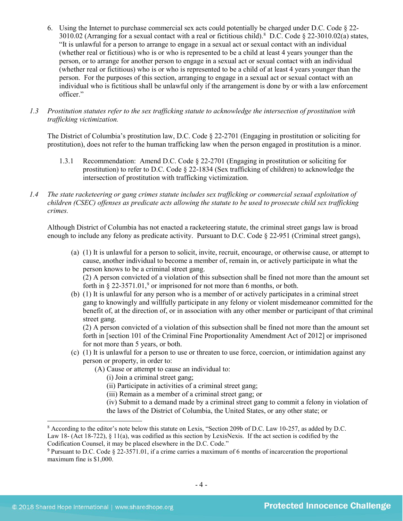- 6. Using the Internet to purchase commercial sex acts could potentially be charged under D.C. Code § 22- 3010.02 (Arranging for a sexual contact with a real or fictitious child).[8](#page-3-0) D.C. Code § 22-3010.02(a) states, "It is unlawful for a person to arrange to engage in a sexual act or sexual contact with an individual (whether real or fictitious) who is or who is represented to be a child at least 4 years younger than the person, or to arrange for another person to engage in a sexual act or sexual contact with an individual (whether real or fictitious) who is or who is represented to be a child of at least 4 years younger than the person. For the purposes of this section, arranging to engage in a sexual act or sexual contact with an individual who is fictitious shall be unlawful only if the arrangement is done by or with a law enforcement officer."
- *1.3 Prostitution statutes refer to the sex trafficking statute to acknowledge the intersection of prostitution with trafficking victimization.*

The District of Columbia's prostitution law, D.C. Code § 22-2701 (Engaging in prostitution or soliciting for prostitution), does not refer to the human trafficking law when the person engaged in prostitution is a minor.

- 1.3.1 Recommendation: Amend D.C. Code § 22-2701 (Engaging in prostitution or soliciting for prostitution) to refer to D.C. Code § 22-1834 (Sex trafficking of children) to acknowledge the intersection of prostitution with trafficking victimization.
- *1.4 The state racketeering or gang crimes statute includes sex trafficking or commercial sexual exploitation of children (CSEC) offenses as predicate acts allowing the statute to be used to prosecute child sex trafficking crimes.*

Although District of Columbia has not enacted a racketeering statute, the criminal street gangs law is broad enough to include any felony as predicate activity. Pursuant to D.C. Code § 22-951 (Criminal street gangs),

(a) (1) It is unlawful for a person to solicit, invite, recruit, encourage, or otherwise cause, or attempt to cause, another individual to become a member of, remain in, or actively participate in what the person knows to be a criminal street gang.

<span id="page-3-2"></span>(2) A person convicted of a violation of this subsection shall be fined not more than the amount set forth in § 22-3571.01, [9](#page-3-1) or imprisoned for not more than 6 months, or both.

(b) (1) It is unlawful for any person who is a member of or actively participates in a criminal street gang to knowingly and willfully participate in any felony or violent misdemeanor committed for the benefit of, at the direction of, or in association with any other member or participant of that criminal street gang.

(2) A person convicted of a violation of this subsection shall be fined not more than the amount set forth in [section 101 of the Criminal Fine Proportionality Amendment Act of 2012] or imprisoned for not more than 5 years, or both.

- (c) (1) It is unlawful for a person to use or threaten to use force, coercion, or intimidation against any person or property, in order to:
	- (A) Cause or attempt to cause an individual to:
		- (i) Join a criminal street gang;
		- (ii) Participate in activities of a criminal street gang;
		- (iii) Remain as a member of a criminal street gang; or
		- (iv) Submit to a demand made by a criminal street gang to commit a felony in violation of
		- the laws of the District of Columbia, the United States, or any other state; or

<span id="page-3-0"></span><sup>8</sup> According to the editor's note below this statute on Lexis, "Section 209b of D.C. Law 10-257, as added by D.C. Law 18- (Act 18-722),  $\S$  11(a), was codified as this section by LexisNexis. If the act section is codified by the Codification Counsel, it may be placed elsewhere in the D.C. Code."

<span id="page-3-1"></span><sup>9</sup> Pursuant to D.C. Code § 22-3571.01, if a crime carries a maximum of 6 months of incarceration the proportional maximum fine is \$1,000.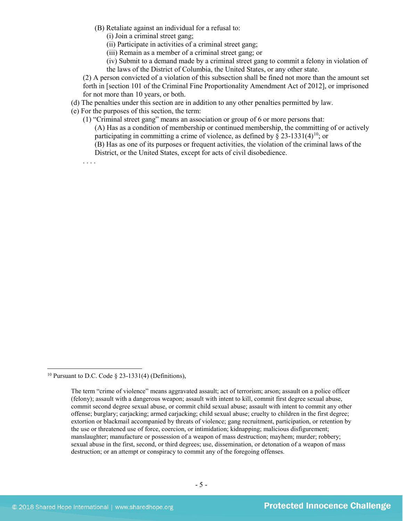- (B) Retaliate against an individual for a refusal to:
	- (i) Join a criminal street gang;
	- (ii) Participate in activities of a criminal street gang;
	- (iii) Remain as a member of a criminal street gang; or
	- (iv) Submit to a demand made by a criminal street gang to commit a felony in violation of the laws of the District of Columbia, the United States, or any other state.

(2) A person convicted of a violation of this subsection shall be fined not more than the amount set forth in [section 101 of the Criminal Fine Proportionality Amendment Act of 2012], or imprisoned for not more than 10 years, or both.

- (d) The penalties under this section are in addition to any other penalties permitted by law.
- (e) For the purposes of this section, the term:
	- (1) "Criminal street gang" means an association or group of 6 or more persons that: (A) Has as a condition of membership or continued membership, the committing of or actively participating in committing a crime of violence, as defined by  $\S 23-1331(4)^{10}$ ; or (B) Has as one of its purposes or frequent activities, the violation of the criminal laws of the District, or the United States, except for acts of civil disobedience.

. . . .

<span id="page-4-0"></span><sup>&</sup>lt;sup>10</sup> Pursuant to D.C. Code  $\S$  23-1331(4) (Definitions),

The term "crime of violence" means aggravated assault; act of terrorism; arson; assault on a police officer (felony); assault with a dangerous weapon; assault with intent to kill, commit first degree sexual abuse, commit second degree sexual abuse, or commit child sexual abuse; assault with intent to commit any other offense; burglary; carjacking; armed carjacking; child sexual abuse; cruelty to children in the first degree; extortion or blackmail accompanied by threats of violence; gang recruitment, participation, or retention by the use or threatened use of force, coercion, or intimidation; kidnapping; malicious disfigurement; manslaughter; manufacture or possession of a weapon of mass destruction; mayhem; murder; robbery; sexual abuse in the first, second, or third degrees; use, dissemination, or detonation of a weapon of mass destruction; or an attempt or conspiracy to commit any of the foregoing offenses.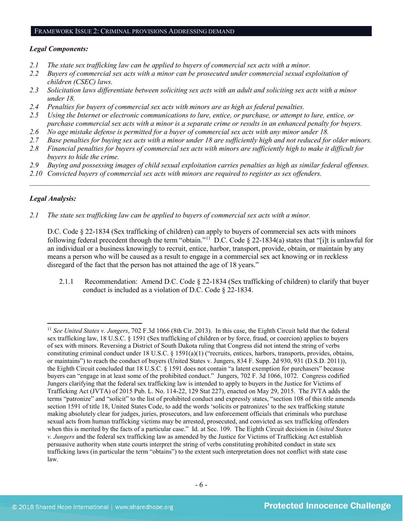#### FRAMEWORK ISSUE 2: CRIMINAL PROVISIONS ADDRESSING DEMAND

#### *Legal Components:*

- *2.1 The state sex trafficking law can be applied to buyers of commercial sex acts with a minor.*
- *2.2 Buyers of commercial sex acts with a minor can be prosecuted under commercial sexual exploitation of children (CSEC) laws.*
- *2.3 Solicitation laws differentiate between soliciting sex acts with an adult and soliciting sex acts with a minor under 18.*
- *2.4 Penalties for buyers of commercial sex acts with minors are as high as federal penalties.*
- *2.5 Using the Internet or electronic communications to lure, entice, or purchase, or attempt to lure, entice, or purchase commercial sex acts with a minor is a separate crime or results in an enhanced penalty for buyers.*
- *2.6 No age mistake defense is permitted for a buyer of commercial sex acts with any minor under 18.*
- *2.7 Base penalties for buying sex acts with a minor under 18 are sufficiently high and not reduced for older minors.*
- *2.8 Financial penalties for buyers of commercial sex acts with minors are sufficiently high to make it difficult for buyers to hide the crime.*
- *2.9 Buying and possessing images of child sexual exploitation carries penalties as high as similar federal offenses.*

 $\mathcal{L}_\mathcal{L} = \mathcal{L}_\mathcal{L} = \mathcal{L}_\mathcal{L} = \mathcal{L}_\mathcal{L} = \mathcal{L}_\mathcal{L} = \mathcal{L}_\mathcal{L} = \mathcal{L}_\mathcal{L} = \mathcal{L}_\mathcal{L} = \mathcal{L}_\mathcal{L} = \mathcal{L}_\mathcal{L} = \mathcal{L}_\mathcal{L} = \mathcal{L}_\mathcal{L} = \mathcal{L}_\mathcal{L} = \mathcal{L}_\mathcal{L} = \mathcal{L}_\mathcal{L} = \mathcal{L}_\mathcal{L} = \mathcal{L}_\mathcal{L}$ 

*2.10 Convicted buyers of commercial sex acts with minors are required to register as sex offenders.*

## *Legal Analysis:*

l

*2.1 The state sex trafficking law can be applied to buyers of commercial sex acts with a minor.* 

D.C. Code § 22-1834 (Sex trafficking of children) can apply to buyers of commercial sex acts with minors following federal precedent through the term "obtain."[11](#page-5-0) D.C. Code § 22-1834(a) states that "[i]t is unlawful for an individual or a business knowingly to recruit, entice, harbor, transport, provide, obtain, or maintain by any means a person who will be caused as a result to engage in a commercial sex act knowing or in reckless disregard of the fact that the person has not attained the age of 18 years."

2.1.1 Recommendation: Amend D.C. Code § 22-1834 (Sex trafficking of children) to clarify that buyer conduct is included as a violation of D.C. Code § 22-1834.

<span id="page-5-0"></span><sup>11</sup> *See United States v. Jungers*, 702 F.3d 1066 (8th Cir. 2013). In this case, the Eighth Circuit held that the federal sex trafficking law, 18 U.S.C. § 1591 (Sex trafficking of children or by force, fraud, or coercion) applies to buyers of sex with minors. Reversing a District of South Dakota ruling that Congress did not intend the string of verbs constituting criminal conduct under 18 U.S.C. § 1591(a)(1) ("recruits, entices, harbors, transports, provides, obtains, or maintains") to reach the conduct of buyers (United States v. Jungers, 834 F. Supp. 2d 930, 931 (D.S.D. 2011)), the Eighth Circuit concluded that 18 U.S.C. § 1591 does not contain "a latent exemption for purchasers" because buyers can "engage in at least some of the prohibited conduct." Jungers, 702 F. 3d 1066, 1072. Congress codified Jungers clarifying that the federal sex trafficking law is intended to apply to buyers in the Justice for Victims of Trafficking Act (JVTA) of 2015 Pub. L. No. 114-22, 129 Stat 227), enacted on May 29, 2015. The JVTA adds the terms "patronize" and "solicit" to the list of prohibited conduct and expressly states, "section 108 of this title amends section 1591 of title 18, United States Code, to add the words 'solicits or patronizes' to the sex trafficking statute making absolutely clear for judges, juries, prosecutors, and law enforcement officials that criminals who purchase sexual acts from human trafficking victims may be arrested, prosecuted, and convicted as sex trafficking offenders when this is merited by the facts of a particular case." Id. at Sec. 109. The Eighth Circuit decision in *United States v. Jungers* and the federal sex trafficking law as amended by the Justice for Victims of Trafficking Act establish persuasive authority when state courts interpret the string of verbs constituting prohibited conduct in state sex trafficking laws (in particular the term "obtains") to the extent such interpretation does not conflict with state case law.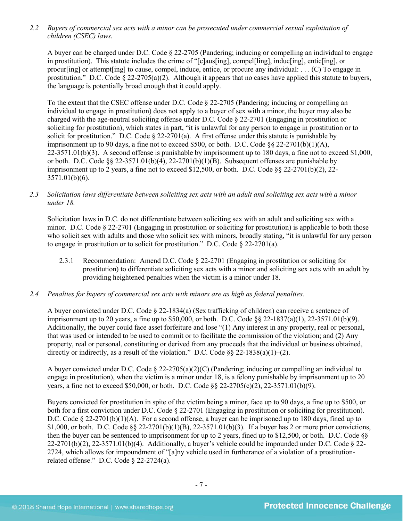*2.2 Buyers of commercial sex acts with a minor can be prosecuted under commercial sexual exploitation of children (CSEC) laws.*

A buyer can be charged under D.C. Code § 22-2705 (Pandering; inducing or compelling an individual to engage in prostitution). This statute includes the crime of "[c]aus[ing], compel[ling], induc[ing], entic[ing], or procur[ing] or attempt[ing] to cause, compel, induce, entice, or procure any individual: . . . (C) To engage in prostitution." D.C. Code  $\S 22-2705(a)(2)$ . Although it appears that no cases have applied this statute to buyers, the language is potentially broad enough that it could apply.

To the extent that the CSEC offense under D.C. Code § 22-2705 (Pandering; inducing or compelling an individual to engage in prostitution) does not apply to a buyer of sex with a minor, the buyer may also be charged with the age-neutral soliciting offense under D.C. Code § 22-2701 (Engaging in prostitution or soliciting for prostitution), which states in part, "it is unlawful for any person to engage in prostitution or to solicit for prostitution." D.C. Code § 22-2701(a). A first offense under this statute is punishable by imprisonment up to 90 days, a fine not to exceed \$500, or both. D.C. Code  $88\,22-2701(b)(1)(A)$ ,  $22-3571.01(b)(3)$ . A second offense is punishable by imprisonment up to 180 days, a fine not to exceed \$1,000, or both. D.C. Code §§ 22-3571.01(b)(4), 22-2701(b)(1)(B). Subsequent offenses are punishable by imprisonment up to 2 years, a fine not to exceed \$12,500, or both. D.C. Code  $\S$ § 22-2701(b)(2), 22-3571.01(b)(6).

*2.3 Solicitation laws differentiate between soliciting sex acts with an adult and soliciting sex acts with a minor under 18.*

Solicitation laws in D.C. do not differentiate between soliciting sex with an adult and soliciting sex with a minor. D.C. Code § 22-2701 (Engaging in prostitution or soliciting for prostitution) is applicable to both those who solicit sex with adults and those who solicit sex with minors, broadly stating, "it is unlawful for any person to engage in prostitution or to solicit for prostitution." D.C. Code  $\S$  22-2701(a).

- 2.3.1 Recommendation: Amend D.C. Code § 22-2701 (Engaging in prostitution or soliciting for prostitution) to differentiate soliciting sex acts with a minor and soliciting sex acts with an adult by providing heightened penalties when the victim is a minor under 18.
- *2.4 Penalties for buyers of commercial sex acts with minors are as high as federal penalties.*

A buyer convicted under D.C. Code § 22-1834(a) (Sex trafficking of children) can receive a sentence of imprisonment up to 20 years, a fine up to \$50,000, or both. D.C. Code §§ 22-1837(a)(1), 22-3571.01(b)(9). Additionally, the buyer could face asset forfeiture and lose "(1) Any interest in any property, real or personal, that was used or intended to be used to commit or to facilitate the commission of the violation; and (2) Any property, real or personal, constituting or derived from any proceeds that the individual or business obtained, directly or indirectly, as a result of the violation." D.C. Code §§ 22-1838(a)(1)–(2).

A buyer convicted under D.C. Code § 22-2705(a)(2)(C) (Pandering; inducing or compelling an individual to engage in prostitution), when the victim is a minor under 18, is a felony punishable by imprisonment up to 20 years, a fine not to exceed \$50,000, or both. D.C. Code §§ 22-2705(c)(2), 22-3571.01(b)(9).

Buyers convicted for prostitution in spite of the victim being a minor, face up to 90 days, a fine up to \$500, or both for a first conviction under D.C. Code § 22-2701 (Engaging in prostitution or soliciting for prostitution). D.C. Code § 22-2701(b)(1)(A). For a second offense, a buyer can be imprisoned up to 180 days, fined up to \$1,000, or both. D.C. Code §§ 22-2701(b)(1)(B), 22-3571.01(b)(3). If a buyer has 2 or more prior convictions, then the buyer can be sentenced to imprisonment for up to 2 years, fined up to \$12,500, or both. D.C. Code §§  $22-2701(b)(2)$ ,  $22-3571.01(b)(4)$ . Additionally, a buyer's vehicle could be impounded under D.C. Code § 22-2724, which allows for impoundment of "[a]ny vehicle used in furtherance of a violation of a prostitutionrelated offense." D.C. Code § 22-2724(a).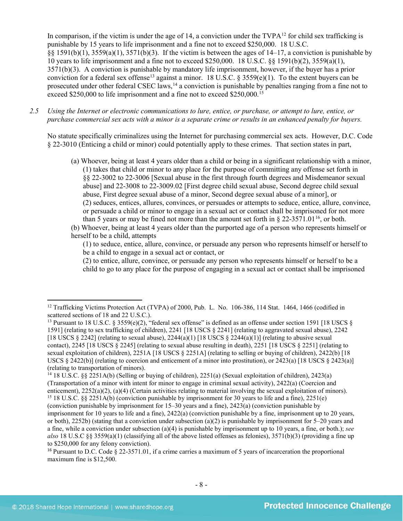<span id="page-7-6"></span><span id="page-7-5"></span>In comparison, if the victim is under the age of 14, a conviction under the  $TVPA^{12}$  $TVPA^{12}$  $TVPA^{12}$  for child sex trafficking is punishable by 15 years to life imprisonment and a fine not to exceed \$250,000. 18 U.S.C. §§ 1591(b)(1), 3559(a)(1), 3571(b)(3). If the victim is between the ages of 14–17, a conviction is punishable by 10 years to life imprisonment and a fine not to exceed \$250,000. 18 U.S.C. §§ 1591(b)(2), 3559(a)(1), 3571(b)(3). A conviction is punishable by mandatory life imprisonment, however, if the buyer has a prior conviction for a federal sex offense<sup>[13](#page-7-1)</sup> against a minor. 18 U.S.C. § 3559(e)(1). To the extent buyers can be prosecuted under other federal CSEC laws,<sup>[14](#page-7-2)</sup> a conviction is punishable by penalties ranging from a fine not to exceed \$250,000 to life imprisonment and a fine not to exceed \$250,000.<sup>[15](#page-7-3)</sup>

*2.5 Using the Internet or electronic communications to lure, entice, or purchase, or attempt to lure, entice, or purchase commercial sex acts with a minor is a separate crime or results in an enhanced penalty for buyers.*

No statute specifically criminalizes using the Internet for purchasing commercial sex acts. However, D.C. Code § 22-3010 (Enticing a child or minor) could potentially apply to these crimes. That section states in part,

(a) Whoever, being at least 4 years older than a child or being in a significant relationship with a minor, (1) takes that child or minor to any place for the purpose of committing any offense set forth in §§ 22-3002 to 22-3006 [Sexual abuse in the first through fourth degrees and Misdemeanor sexual abuse] and 22-3008 to 22-3009.02 [First degree child sexual abuse, Second degree child sexual abuse, First degree sexual abuse of a minor, Second degree sexual abuse of a minor], or (2) seduces, entices, allures, convinces, or persuades or attempts to seduce, entice, allure, convince, or persuade a child or minor to engage in a sexual act or contact shall be imprisoned for not more than 5 years or may be fined not more than the amount set forth in  $\S 22-3571.01^{16}$  $\S 22-3571.01^{16}$  $\S 22-3571.01^{16}$ , or both.

(b) Whoever, being at least 4 years older than the purported age of a person who represents himself or herself to be a child, attempts

(1) to seduce, entice, allure, convince, or persuade any person who represents himself or herself to be a child to engage in a sexual act or contact, or

(2) to entice, allure, convince, or persuade any person who represents himself or herself to be a child to go to any place for the purpose of engaging in a sexual act or contact shall be imprisoned

l

<span id="page-7-0"></span><sup>&</sup>lt;sup>12</sup> Trafficking Victims Protection Act (TVPA) of 2000, Pub. L. No. 106-386, 114 Stat. 1464, 1466 (codified in scattered sections of 18 and 22 U.S.C.).

<span id="page-7-1"></span><sup>&</sup>lt;sup>13</sup> Pursuant to 18 U.S.C. § 3559(e)(2), "federal sex offense" is defined as an offense under section 1591 [18 USCS § 1591] (relating to sex trafficking of children), 2241 [18 USCS § 2241] (relating to aggravated sexual abuse), 2242 [18 USCS  $\S 2242$ ] (relating to sexual abuse),  $2244(a)(1)$  [18 USCS  $\S 2244(a)(1)$ ] (relating to abusive sexual contact), 2245 [18 USCS § 2245] (relating to sexual abuse resulting in death), 2251 [18 USCS § 2251] (relating to sexual exploitation of children), 2251A [18 USCS § 2251A] (relating to selling or buying of children), 2422(b) [18 USCS  $\S$  2422(b)] (relating to coercion and enticement of a minor into prostitution), or 2423(a) [18 USCS  $\S$  2423(a)] (relating to transportation of minors).

<span id="page-7-2"></span><sup>14</sup> 18 U.S.C. §§ 2251A(b) (Selling or buying of children), 2251(a) (Sexual exploitation of children), 2423(a) (Transportation of a minor with intent for minor to engage in criminal sexual activity), 2422(a) (Coercion and enticement), 2252(a)(2), (a)(4) (Certain activities relating to material involving the sexual exploitation of

<span id="page-7-3"></span><sup>&</sup>lt;sup>15</sup> 18 U.S.C. §§ 2251A(b) (conviction punishable by imprisonment for 30 years to life and a fine), 2251(e) (conviction punishable by imprisonment for 15–30 years and a fine), 2423(a) (conviction punishable by

imprisonment for 10 years to life and a fine), 2422(a) (conviction punishable by a fine, imprisonment up to 20 years, or both),  $2252b$ ) (stating that a conviction under subsection (a)(2) is punishable by imprisonment for  $5-20$  years and a fine, while a conviction under subsection (a)(4) is punishable by imprisonment up to 10 years, a fine, or both.); *see also* 18 U.S.C §§ 3559(a)(1) (classifying all of the above listed offenses as felonies), 3571(b)(3) (providing a fine up to \$250,000 for any felony conviction).

<span id="page-7-4"></span><sup>16</sup> Pursuant to D.C. Code § 22-3571.01, if a crime carries a maximum of 5 years of incarceration the proportional maximum fine is \$12,500.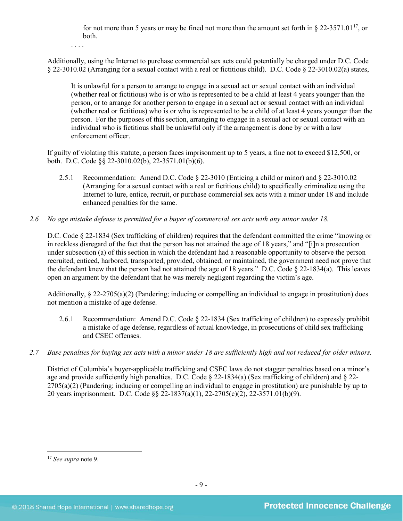for not more than 5 years or may be fined not more than the amount set forth in  $\S 22-3571.01^{17}$ , or both.

. . . .

Additionally, using the Internet to purchase commercial sex acts could potentially be charged under D.C. Code § 22-3010.02 (Arranging for a sexual contact with a real or fictitious child). D.C. Code § 22-3010.02(a) states,

It is unlawful for a person to arrange to engage in a sexual act or sexual contact with an individual (whether real or fictitious) who is or who is represented to be a child at least 4 years younger than the person, or to arrange for another person to engage in a sexual act or sexual contact with an individual (whether real or fictitious) who is or who is represented to be a child of at least 4 years younger than the person. For the purposes of this section, arranging to engage in a sexual act or sexual contact with an individual who is fictitious shall be unlawful only if the arrangement is done by or with a law enforcement officer.

If guilty of violating this statute, a person faces imprisonment up to 5 years, a fine not to exceed \$12,500, or both. D.C. Code §§ 22-3010.02(b), 22-3571.01(b)(6).

- 2.5.1 Recommendation: Amend D.C. Code § 22-3010 (Enticing a child or minor) and § 22-3010.02 (Arranging for a sexual contact with a real or fictitious child) to specifically criminalize using the Internet to lure, entice, recruit, or purchase commercial sex acts with a minor under 18 and include enhanced penalties for the same.
- *2.6 No age mistake defense is permitted for a buyer of commercial sex acts with any minor under 18.*

D.C. Code § 22-1834 (Sex trafficking of children) requires that the defendant committed the crime "knowing or in reckless disregard of the fact that the person has not attained the age of 18 years," and "[i]n a prosecution under subsection (a) of this section in which the defendant had a reasonable opportunity to observe the person recruited, enticed, harbored, transported, provided, obtained, or maintained, the government need not prove that the defendant knew that the person had not attained the age of 18 years." D.C. Code  $\S$  22-1834(a). This leaves open an argument by the defendant that he was merely negligent regarding the victim's age.

Additionally,  $\S 22-2705(a)(2)$  (Pandering; inducing or compelling an individual to engage in prostitution) does not mention a mistake of age defense.

- 2.6.1 Recommendation: Amend D.C. Code § 22-1834 (Sex trafficking of children) to expressly prohibit a mistake of age defense, regardless of actual knowledge, in prosecutions of child sex trafficking and CSEC offenses.
- *2.7 Base penalties for buying sex acts with a minor under 18 are sufficiently high and not reduced for older minors.*

District of Columbia's buyer-applicable trafficking and CSEC laws do not stagger penalties based on a minor's age and provide sufficiently high penalties. D.C. Code  $\S$  22-1834(a) (Sex trafficking of children) and  $\S$  22- $2705(a)(2)$  (Pandering; inducing or compelling an individual to engage in prostitution) are punishable by up to 20 years imprisonment. D.C. Code §§ 22-1837(a)(1), 22-2705(c)(2), 22-3571.01(b)(9).

<span id="page-8-0"></span><sup>17</sup> *See supra* note [9.](#page-3-2)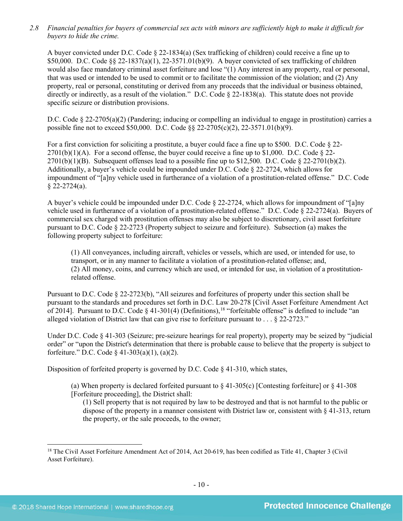*2.8 Financial penalties for buyers of commercial sex acts with minors are sufficiently high to make it difficult for buyers to hide the crime.*

A buyer convicted under D.C. Code § 22-1834(a) (Sex trafficking of children) could receive a fine up to \$50,000. D.C. Code §§ 22-1837(a)(1), 22-3571.01(b)(9). A buyer convicted of sex trafficking of children would also face mandatory criminal asset forfeiture and lose "(1) Any interest in any property, real or personal, that was used or intended to be used to commit or to facilitate the commission of the violation; and (2) Any property, real or personal, constituting or derived from any proceeds that the individual or business obtained, directly or indirectly, as a result of the violation." D.C. Code § 22-1838(a). This statute does not provide specific seizure or distribution provisions.

D.C. Code § 22-2705(a)(2) (Pandering; inducing or compelling an individual to engage in prostitution) carries a possible fine not to exceed \$50,000. D.C. Code §§ 22-2705(c)(2), 22-3571.01(b)(9).

For a first conviction for soliciting a prostitute, a buyer could face a fine up to \$500. D.C. Code § 22-  $2701(b)(1)(A)$ . For a second offense, the buyer could receive a fine up to \$1,000. D.C. Code § 22- $2701(b)(1)(B)$ . Subsequent offenses lead to a possible fine up to \$12,500. D.C. Code § 22-2701(b)(2). Additionally, a buyer's vehicle could be impounded under D.C. Code § 22-2724, which allows for impoundment of "[a]ny vehicle used in furtherance of a violation of a prostitution-related offense." D.C. Code  $§$  22-2724(a).

A buyer's vehicle could be impounded under D.C. Code § 22-2724, which allows for impoundment of "[a]ny vehicle used in furtherance of a violation of a prostitution-related offense." D.C. Code § 22-2724(a). Buyers of commercial sex charged with prostitution offenses may also be subject to discretionary, civil asset forfeiture pursuant to D.C. Code § 22-2723 (Property subject to seizure and forfeiture). Subsection (a) makes the following property subject to forfeiture:

(1) All conveyances, including aircraft, vehicles or vessels, which are used, or intended for use, to transport, or in any manner to facilitate a violation of a prostitution-related offense; and, (2) All money, coins, and currency which are used, or intended for use, in violation of a prostitutionrelated offense.

Pursuant to D.C. Code § 22-2723(b), "All seizures and forfeitures of property under this section shall be pursuant to the standards and procedures set forth in D.C. Law 20-278 [Civil Asset Forfeiture Amendment Act of 2014]. Pursuant to D.C. Code  $\S$  41-301(4) (Definitions),<sup>[18](#page-9-0)</sup> "forfeitable offense" is defined to include "an alleged violation of District law that can give rise to forfeiture pursuant to . . . § 22-2723."

Under D.C. Code § 41-303 (Seizure; pre-seizure hearings for real property), property may be seized by "judicial order" or "upon the District's determination that there is probable cause to believe that the property is subject to forfeiture." D.C. Code § 41-303(a)(1), (a)(2).

Disposition of forfeited property is governed by D.C. Code § 41-310, which states,

(a) When property is declared forfeited pursuant to  $\S$  41-305(c) [Contesting forfeiture] or  $\S$  41-308 [Forfeiture proceeding], the District shall:

(1) Sell property that is not required by law to be destroyed and that is not harmful to the public or dispose of the property in a manner consistent with District law or, consistent with § 41-313, return the property, or the sale proceeds, to the owner;

<span id="page-9-0"></span><sup>&</sup>lt;sup>18</sup> The Civil Asset Forfeiture Amendment Act of 2014, Act 20-619, has been codified as Title 41, Chapter 3 (Civil Asset Forfeiture).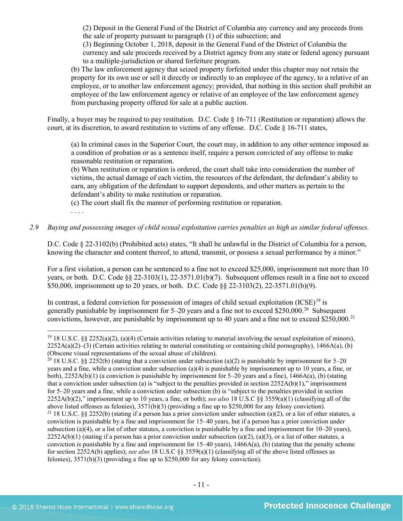(2) Deposit in the General Fund of the District of Columbia any currency and any proceeds from the sale of property pursuant to paragraph (1) of this subsection; and

(3) Beginning October 1, 2018, deposit in the General Fund of the District of Columbia the currency and sale proceeds received by a District agency from any state or federal agency pursuant to a multiple-jurisdiction or shared forfeiture program.

(b) The law enforcement agency that seized property forfeited under this chapter may not retain the property for its own use or sell it directly or indirectly to an employee of the agency, to a relative of an employee, or to another law enforcement agency; provided, that nothing in this section shall prohibit an employee of the law enforcement agency or relative of an employee of the law enforcement agency from purchasing property offered for sale at a public auction.

Finally, a buyer may be required to pay restitution. D.C. Code § 16-711 (Restitution or reparation) allows the court, at its discretion, to award restitution to victims of any offense. D.C. Code § 16-711 states,

(a) In criminal cases in the Superior Court, the court may, in addition to any other sentence imposed as a condition of probation or as a sentence itself, require a person convicted of any offense to make reasonable restitution or reparation.

(b) When restitution or reparation is ordered, the court shall take into consideration the number of victims, the actual damage of each victim, the resources of the defendant, the defendant's ability to earn, any obligation of the defendant to support dependents, and other matters as pertain to the defendant's ability to make restitution or reparation.

(c) The court shall fix the manner of performing restitution or reparation.

. . . .

*2.9 Buying and possessing images of child sexual exploitation carries penalties as high as similar federal offenses.*

D.C. Code § 22-3102(b) (Prohibited acts) states, "It shall be unlawful in the District of Columbia for a person, knowing the character and content thereof, to attend, transmit, or possess a sexual performance by a minor."

For a first violation, a person can be sentenced to a fine not to exceed \$25,000, imprisonment not more than 10 years, or both. D.C. Code §§ 22-3103(1), 22-3571.01(b)(7). Subsequent offenses result in a fine not to exceed \$50,000, imprisonment up to 20 years, or both. D.C. Code §§ 22-3103(2), 22-3571.01(b)(9).

In contrast, a federal conviction for possession of images of child sexual exploitation  $(ICSE)^{19}$  $(ICSE)^{19}$  $(ICSE)^{19}$  is generally punishable by imprisonment for 5–20 years and a fine not to exceed \$250,000.[20](#page-10-1) Subsequent convictions, however, are punishable by imprisonment up to 40 years and a fine not to exceed \$250,000.[21](#page-10-2)

<span id="page-10-0"></span> $\overline{\phantom{a}}$ <sup>19</sup> 18 U.S.C. §§ 2252(a)(2), (a)(4) (Certain activities relating to material involving the sexual exploitation of minors),  $2252A(a)(2)$ –(3) (Certain activities relating to material constituting or containing child pornography), 1466A(a), (b) (Obscene visual representations of the sexual abuse of children).<br><sup>20</sup> 18 U.S.C. §§ 2252(b) (stating that a conviction under subsection (a)(2) is punishable by imprisonment for 5–20

<span id="page-10-2"></span><span id="page-10-1"></span>years and a fine, while a conviction under subsection (a)(4) is punishable by imprisonment up to 10 years, a fine, or both), 2252A(b)(1) (a conviction is punishable by imprisonment for 5–20 years and a fine), 1466A(a), (b) (stating that a conviction under subsection (a) is "subject to the penalties provided in section  $2252A(b)(1)$ ," imprisonment for 5–20 years and a fine, while a conviction under subsection (b) is "subject to the penalties provided in section 2252A(b)(2)," imprisonment up to 10 years, a fine, or both); *see also* 18 U.S.C §§ 3559(a)(1) (classifying all of the above listed offenses as felonies),  $3571(b)(3)$  (providing a fine up to \$250,000 for any felony conviction).<br><sup>21</sup> 18 U.S.C. §§ 2252(b) (stating if a person has a prior conviction under subsection (a)(2), or a list of other conviction is punishable by a fine and imprisonment for 15–40 years, but if a person has a prior conviction under subsection (a)(4), or a list of other statutes, a conviction is punishable by a fine and imprisonment for 10–20 years).  $2252A(b)(1)$  (stating if a person has a prior conviction under subsection (a)(2), (a)(3), or a list of other statutes, a conviction is punishable by a fine and imprisonment for  $15-40$  years),  $1466A(a)$ , (b) (stating that the penalty scheme for section 2252A(b) applies); *see also* 18 U.S.C §§ 3559(a)(1) (classifying all of the above listed offenses as felonies), 3571(b)(3) (providing a fine up to \$250,000 for any felony conviction).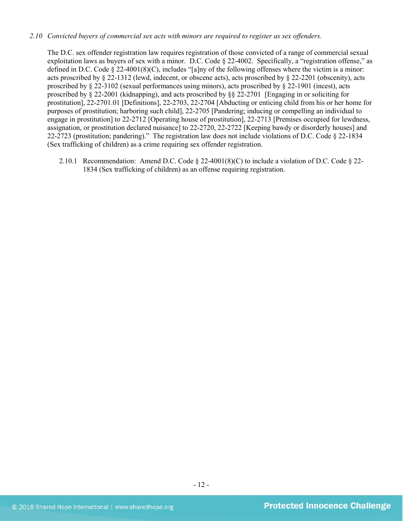### *2.10 Convicted buyers of commercial sex acts with minors are required to register as sex offenders.*

The D.C. sex offender registration law requires registration of those convicted of a range of commercial sexual exploitation laws as buyers of sex with a minor. D.C. Code § 22-4002. Specifically, a "registration offense," as defined in D.C. Code § 22-4001(8)(C), includes "[a]ny of the following offenses where the victim is a minor: acts proscribed by § 22-1312 (lewd, indecent, or obscene acts), acts proscribed by § 22-2201 (obscenity), acts proscribed by § 22-3102 (sexual performances using minors), acts proscribed by § 22-1901 (incest), acts proscribed by § 22-2001 (kidnapping), and acts proscribed by §§ 22-2701 [Engaging in or soliciting for prostitution], 22-2701.01 [Definitions], 22-2703, 22-2704 [Abducting or enticing child from his or her home for purposes of prostitution; harboring such child], 22-2705 [Pandering; inducing or compelling an individual to engage in prostitution] to 22-2712 [Operating house of prostitution], 22-2713 [Premises occupied for lewdness, assignation, or prostitution declared nuisance] to 22-2720, 22-2722 [Keeping bawdy or disorderly houses] and 22-2723 (prostitution; pandering)." The registration law does not include violations of D.C. Code § 22-1834 (Sex trafficking of children) as a crime requiring sex offender registration.

2.10.1 Recommendation: Amend D.C. Code § 22-4001(8)(C) to include a violation of D.C. Code § 22- 1834 (Sex trafficking of children) as an offense requiring registration.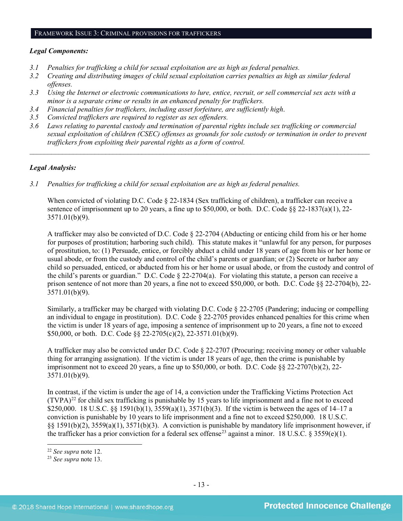#### FRAMEWORK ISSUE 3: CRIMINAL PROVISIONS FOR TRAFFICKERS

### *Legal Components:*

- *3.1 Penalties for trafficking a child for sexual exploitation are as high as federal penalties.*
- *3.2 Creating and distributing images of child sexual exploitation carries penalties as high as similar federal offenses.*
- *3.3 Using the Internet or electronic communications to lure, entice, recruit, or sell commercial sex acts with a minor is a separate crime or results in an enhanced penalty for traffickers.*
- *3.4 Financial penalties for traffickers, including asset forfeiture, are sufficiently high*.
- *3.5 Convicted traffickers are required to register as sex offenders.*
- *3.6 Laws relating to parental custody and termination of parental rights include sex trafficking or commercial sexual exploitation of children (CSEC) offenses as grounds for sole custody or termination in order to prevent traffickers from exploiting their parental rights as a form of control.*

*\_\_\_\_\_\_\_\_\_\_\_\_\_\_\_\_\_\_\_\_\_\_\_\_\_\_\_\_\_\_\_\_\_\_\_\_\_\_\_\_\_\_\_\_\_\_\_\_\_\_\_\_\_\_\_\_\_\_\_\_\_\_\_\_\_\_\_\_\_\_\_\_\_\_\_\_\_\_\_\_\_\_\_\_\_\_\_\_\_\_\_\_\_\_*

## *Legal Analysis:*

*3.1 Penalties for trafficking a child for sexual exploitation are as high as federal penalties.*

When convicted of violating D.C. Code  $\S$  22-1834 (Sex trafficking of children), a trafficker can receive a sentence of imprisonment up to 20 years, a fine up to \$50,000, or both. D.C. Code §§ 22-1837(a)(1), 22- 3571.01(b)(9).

A trafficker may also be convicted of D.C. Code § 22-2704 (Abducting or enticing child from his or her home for purposes of prostitution; harboring such child). This statute makes it "unlawful for any person, for purposes of prostitution, to: (1) Persuade, entice, or forcibly abduct a child under 18 years of age from his or her home or usual abode, or from the custody and control of the child's parents or guardian; or (2) Secrete or harbor any child so persuaded, enticed, or abducted from his or her home or usual abode, or from the custody and control of the child's parents or guardian." D.C. Code § 22-2704(a). For violating this statute, a person can receive a prison sentence of not more than 20 years, a fine not to exceed \$50,000, or both. D.C. Code §§ 22-2704(b), 22- 3571.01(b)(9).

Similarly, a trafficker may be charged with violating D.C. Code § 22-2705 (Pandering; inducing or compelling an individual to engage in prostitution). D.C. Code § 22-2705 provides enhanced penalties for this crime when the victim is under 18 years of age, imposing a sentence of imprisonment up to 20 years, a fine not to exceed \$50,000, or both. D.C. Code §§ 22-2705(c)(2), 22-3571.01(b)(9).

A trafficker may also be convicted under D.C. Code § 22-2707 (Procuring; receiving money or other valuable thing for arranging assignation). If the victim is under 18 years of age, then the crime is punishable by imprisonment not to exceed 20 years, a fine up to  $$50,000$ , or both. D.C. Code  $\$   $\frac{22-2707(b)(2)}{22-2707(b)(2)}$ 3571.01(b)(9).

In contrast, if the victim is under the age of 14, a conviction under the Trafficking Victims Protection Act  $(TVPA)^{22}$  $(TVPA)^{22}$  $(TVPA)^{22}$  for child sex trafficking is punishable by 15 years to life imprisonment and a fine not to exceed \$250,000. 18 U.S.C. §§ 1591(b)(1), 3559(a)(1), 3571(b)(3). If the victim is between the ages of 14–17 a conviction is punishable by 10 years to life imprisonment and a fine not to exceed \$250,000. 18 U.S.C. §§ 1591(b)(2), 3559(a)(1), 3571(b)(3). A conviction is punishable by mandatory life imprisonment however, if the trafficker has a prior conviction for a federal sex offense<sup>[23](#page-12-1)</sup> against a minor. 18 U.S.C. § 3559(e)(1).

<span id="page-12-0"></span><sup>22</sup> *See supra* note [12.](#page-7-5) 23 *See supra* note [13.](#page-7-6) 

<span id="page-12-1"></span>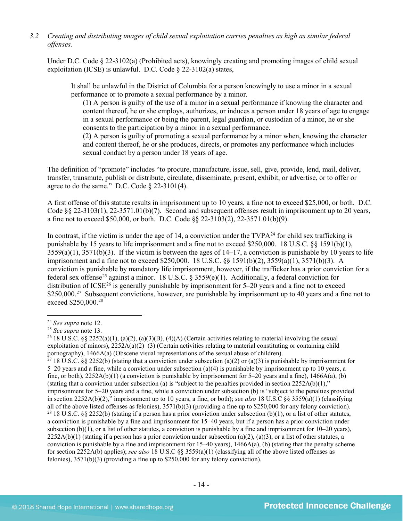## *3.2 Creating and distributing images of child sexual exploitation carries penalties as high as similar federal offenses.*

Under D.C. Code § 22-3102(a) (Prohibited acts), knowingly creating and promoting images of child sexual exploitation (ICSE) is unlawful. D.C. Code § 22-3102(a) states,

It shall be unlawful in the District of Columbia for a person knowingly to use a minor in a sexual performance or to promote a sexual performance by a minor.

(1) A person is guilty of the use of a minor in a sexual performance if knowing the character and content thereof, he or she employs, authorizes, or induces a person under 18 years of age to engage in a sexual performance or being the parent, legal guardian, or custodian of a minor, he or she consents to the participation by a minor in a sexual performance.

(2) A person is guilty of promoting a sexual performance by a minor when, knowing the character and content thereof, he or she produces, directs, or promotes any performance which includes sexual conduct by a person under 18 years of age.

The definition of "promote" includes "to procure, manufacture, issue, sell, give, provide, lend, mail, deliver, transfer, transmute, publish or distribute, circulate, disseminate, present, exhibit, or advertise, or to offer or agree to do the same." D.C. Code  $\S$  22-3101(4).

A first offense of this statute results in imprisonment up to 10 years, a fine not to exceed \$25,000, or both. D.C. Code §§ 22-3103(1), 22-3571.01(b)(7). Second and subsequent offenses result in imprisonment up to 20 years, a fine not to exceed \$50,000, or both. D.C. Code §§ 22-3103(2), 22-3571.01(b)(9).

In contrast, if the victim is under the age of 14, a conviction under the  $TVPA^{24}$  $TVPA^{24}$  $TVPA^{24}$  for child sex trafficking is punishable by 15 years to life imprisonment and a fine not to exceed \$250,000. 18 U.S.C. §§ 1591(b)(1),  $3559(a)(1)$ ,  $3571(b)(3)$ . If the victim is between the ages of  $14-17$ , a conviction is punishable by 10 years to life imprisonment and a fine not to exceed \$250,000. 18 U.S.C. §§ 1591(b)(2), 3559(a)(1), 3571(b)(3). A conviction is punishable by mandatory life imprisonment, however, if the trafficker has a prior conviction for a federal sex offense<sup>[25](#page-13-1)</sup> against a minor. 18 U.S.C. § 3559(e)(1). Additionally, a federal conviction for distribution of ICSE<sup>[26](#page-13-2)</sup> is generally punishable by imprisonment for 5–20 years and a fine not to exceed \$250,000.<sup>[27](#page-13-3)</sup> Subsequent convictions, however, are punishable by imprisonment up to 40 years and a fine not to exceed \$250,000.[28](#page-13-4)

<span id="page-13-0"></span><sup>24</sup> *See supra* note [12.](#page-7-5)

<span id="page-13-2"></span><span id="page-13-1"></span><sup>&</sup>lt;sup>25</sup> *See supra* note 13.<br><sup>26</sup> 18 U.S.C. §§ 2252(a)(1), (a)(2), (a)(3)(B), (4)(A) (Certain activities relating to material involving the sexual exploitation of minors),  $2252A(a)(2)-(3)$  (Certain activities relating to material constituting or containing child pornography),  $1466A(a)$  (Obscene visual representations of the sexual abuse of children).

<span id="page-13-4"></span><span id="page-13-3"></span><sup>&</sup>lt;sup>27</sup> 18 U.S.C. §§ 2252(b) (stating that a conviction under subsection (a)(2) or (a)(3) is punishable by imprisonment for 5–20 years and a fine, while a conviction under subsection (a)(4) is punishable by imprisonment up to 10 years, a fine, or both),  $2252A(b)(1)$  (a conviction is punishable by imprisonment for 5–20 years and a fine),  $1466A(a)$ , (b) (stating that a conviction under subsection (a) is "subject to the penalties provided in section  $2252A(b)(1)$ ," imprisonment for 5–20 years and a fine, while a conviction under subsection (b) is "subject to the penalties provided in section 2252A(b)(2)," imprisonment up to 10 years, a fine, or both); *see also* 18 U.S.C §§ 3559(a)(1) (classifying all of the above listed offenses as felonies),  $3571(b)(3)$  (providing a fine up to \$250,000 for any felony conviction).<br><sup>28</sup> 18 U.S.C. §§ 2252(b) (stating if a person has a prior conviction under subsection (b)(1), or a li a conviction is punishable by a fine and imprisonment for 15–40 years, but if a person has a prior conviction under subsection  $(b)(1)$ , or a list of other statutes, a conviction is punishable by a fine and imprisonment for  $10-20$  years),  $2252A(b)(1)$  (stating if a person has a prior conviction under subsection (a)(2), (a)(3), or a list of other statutes, a conviction is punishable by a fine and imprisonment for  $15-40$  years),  $1466A(a)$ , (b) (stating that the penalty scheme for section 2252A(b) applies); *see also* 18 U.S.C §§ 3559(a)(1) (classifying all of the above listed offenses as felonies), 3571(b)(3) (providing a fine up to \$250,000 for any felony conviction).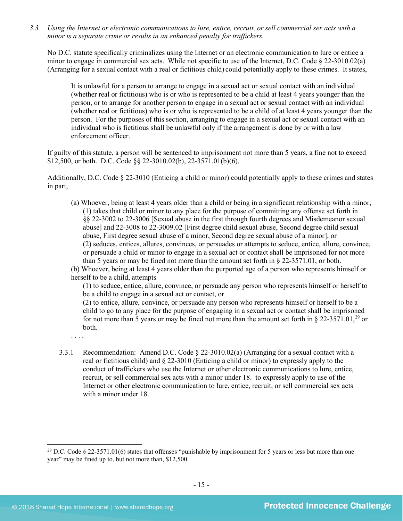*3.3 Using the Internet or electronic communications to lure, entice, recruit, or sell commercial sex acts with a minor is a separate crime or results in an enhanced penalty for traffickers.*

No D.C. statute specifically criminalizes using the Internet or an electronic communication to lure or entice a minor to engage in commercial sex acts. While not specific to use of the Internet, D.C. Code § 22-3010.02(a) (Arranging for a sexual contact with a real or fictitious child) could potentially apply to these crimes. It states,

It is unlawful for a person to arrange to engage in a sexual act or sexual contact with an individual (whether real or fictitious) who is or who is represented to be a child at least 4 years younger than the person, or to arrange for another person to engage in a sexual act or sexual contact with an individual (whether real or fictitious) who is or who is represented to be a child of at least 4 years younger than the person. For the purposes of this section, arranging to engage in a sexual act or sexual contact with an individual who is fictitious shall be unlawful only if the arrangement is done by or with a law enforcement officer.

If guilty of this statute, a person will be sentenced to imprisonment not more than 5 years, a fine not to exceed \$12,500, or both. D.C. Code §§ 22-3010.02(b), 22-3571.01(b)(6).

Additionally, D.C. Code § 22-3010 (Enticing a child or minor) could potentially apply to these crimes and states in part,

(a) Whoever, being at least 4 years older than a child or being in a significant relationship with a minor, (1) takes that child or minor to any place for the purpose of committing any offense set forth in §§ 22-3002 to 22-3006 [Sexual abuse in the first through fourth degrees and Misdemeanor sexual abuse] and 22-3008 to 22-3009.02 [First degree child sexual abuse, Second degree child sexual abuse, First degree sexual abuse of a minor, Second degree sexual abuse of a minor], or (2) seduces, entices, allures, convinces, or persuades or attempts to seduce, entice, allure, convince, or persuade a child or minor to engage in a sexual act or contact shall be imprisoned for not more than 5 years or may be fined not more than the amount set forth in § 22-3571.01, or both.

(b) Whoever, being at least 4 years older than the purported age of a person who represents himself or herself to be a child, attempts

(1) to seduce, entice, allure, convince, or persuade any person who represents himself or herself to be a child to engage in a sexual act or contact, or

(2) to entice, allure, convince, or persuade any person who represents himself or herself to be a child to go to any place for the purpose of engaging in a sexual act or contact shall be imprisoned for not more than 5 years or may be fined not more than the amount set forth in  $\S 22-3571.01$ ,<sup>[29](#page-14-0)</sup> or both.

. . . .

 $\overline{\phantom{a}}$ 

3.3.1 Recommendation: Amend D.C. Code § 22-3010.02(a) (Arranging for a sexual contact with a real or fictitious child) and § 22-3010 (Enticing a child or minor) to expressly apply to the conduct of traffickers who use the Internet or other electronic communications to lure, entice, recruit, or sell commercial sex acts with a minor under 18. to expressly apply to use of the Internet or other electronic communication to lure, entice, recruit, or sell commercial sex acts with a minor under 18.

<span id="page-14-0"></span><sup>&</sup>lt;sup>29</sup> D.C. Code § 22-3571.01(6) states that offenses "punishable by imprisonment for 5 years or less but more than one year" may be fined up to, but not more than, \$12,500.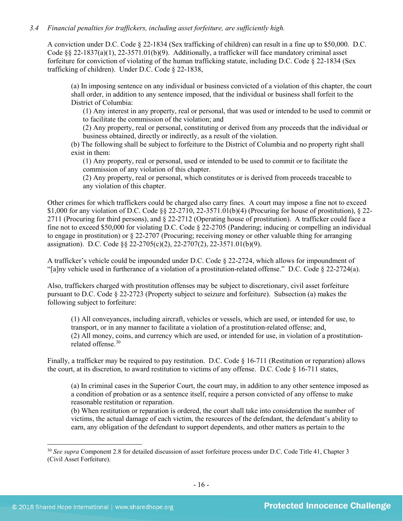## *3.4 Financial penalties for traffickers, including asset forfeiture, are sufficiently high.*

A conviction under D.C. Code § 22-1834 (Sex trafficking of children) can result in a fine up to \$50,000. D.C. Code §§ 22-1837(a)(1), 22-3571.01(b)(9). Additionally, a trafficker will face mandatory criminal asset forfeiture for conviction of violating of the human trafficking statute, including D.C. Code § 22-1834 (Sex trafficking of children). Under D.C. Code § 22-1838,

(a) In imposing sentence on any individual or business convicted of a violation of this chapter, the court shall order, in addition to any sentence imposed, that the individual or business shall forfeit to the District of Columbia:

(1) Any interest in any property, real or personal, that was used or intended to be used to commit or to facilitate the commission of the violation; and

(2) Any property, real or personal, constituting or derived from any proceeds that the individual or business obtained, directly or indirectly, as a result of the violation.

(b) The following shall be subject to forfeiture to the District of Columbia and no property right shall exist in them:

(1) Any property, real or personal, used or intended to be used to commit or to facilitate the commission of any violation of this chapter.

(2) Any property, real or personal, which constitutes or is derived from proceeds traceable to any violation of this chapter.

Other crimes for which traffickers could be charged also carry fines. A court may impose a fine not to exceed \$1,000 for any violation of D.C. Code §§ 22-2710, 22-3571.01(b)(4) (Procuring for house of prostitution), § 22- 2711 (Procuring for third persons), and § 22-2712 (Operating house of prostitution). A trafficker could face a fine not to exceed \$50,000 for violating D.C. Code § 22-2705 (Pandering; inducing or compelling an individual to engage in prostitution) or § 22-2707 (Procuring; receiving money or other valuable thing for arranging assignation). D.C. Code §§ 22-2705(c)(2), 22-2707(2), 22-3571.01(b)(9).

A trafficker's vehicle could be impounded under D.C. Code § 22-2724, which allows for impoundment of "[a]ny vehicle used in furtherance of a violation of a prostitution-related offense." D.C. Code § 22-2724(a).

Also, traffickers charged with prostitution offenses may be subject to discretionary, civil asset forfeiture pursuant to D.C. Code § 22-2723 (Property subject to seizure and forfeiture). Subsection (a) makes the following subject to forfeiture:

(1) All conveyances, including aircraft, vehicles or vessels, which are used, or intended for use, to transport, or in any manner to facilitate a violation of a prostitution-related offense; and, (2) All money, coins, and currency which are used, or intended for use, in violation of a prostitutionrelated offense.[30](#page-15-0)

Finally, a trafficker may be required to pay restitution. D.C. Code § 16-711 (Restitution or reparation) allows the court, at its discretion, to award restitution to victims of any offense. D.C. Code § 16-711 states,

(a) In criminal cases in the Superior Court, the court may, in addition to any other sentence imposed as a condition of probation or as a sentence itself, require a person convicted of any offense to make reasonable restitution or reparation.

(b) When restitution or reparation is ordered, the court shall take into consideration the number of victims, the actual damage of each victim, the resources of the defendant, the defendant's ability to earn, any obligation of the defendant to support dependents, and other matters as pertain to the

<span id="page-15-0"></span><sup>30</sup> *See supra* Component 2.8 for detailed discussion of asset forfeiture process under D.C. Code Title 41, Chapter 3 (Civil Asset Forfeiture).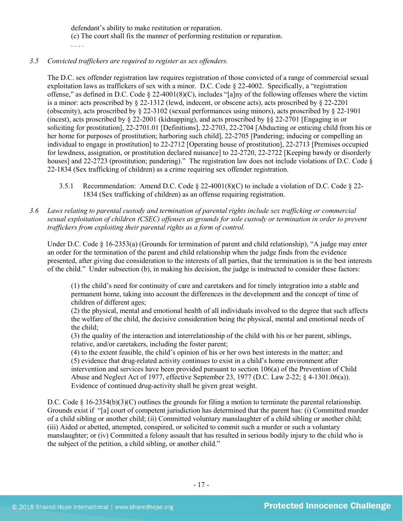defendant's ability to make restitution or reparation. (c) The court shall fix the manner of performing restitution or reparation. . . . .

## *3.5 Convicted traffickers are required to register as sex offenders.*

The D.C. sex offender registration law requires registration of those convicted of a range of commercial sexual exploitation laws as traffickers of sex with a minor. D.C. Code § 22-4002. Specifically, a "registration offense," as defined in D.C. Code § 22-4001(8)(C), includes "[a]ny of the following offenses where the victim is a minor: acts proscribed by § 22-1312 (lewd, indecent, or obscene acts), acts proscribed by § 22-2201 (obscenity), acts proscribed by  $\S 22-3102$  (sexual performances using minors), acts proscribed by  $\S 22-1901$ (incest), acts proscribed by § 22-2001 (kidnapping), and acts proscribed by §§ 22-2701 [Engaging in or soliciting for prostitution], 22-2701.01 [Definitions], 22-2703, 22-2704 [Abducting or enticing child from his or her home for purposes of prostitution; harboring such child], 22-2705 [Pandering; inducing or compelling an individual to engage in prostitution] to 22-2712 [Operating house of prostitution], 22-2713 [Premises occupied for lewdness, assignation, or prostitution declared nuisance] to 22-2720, 22-2722 [Keeping bawdy or disorderly houses] and 22-2723 (prostitution; pandering)." The registration law does not include violations of D.C. Code  $\S$ 22-1834 (Sex trafficking of children) as a crime requiring sex offender registration.

- 3.5.1 Recommendation: Amend D.C. Code § 22-4001(8)(C) to include a violation of D.C. Code § 22- 1834 (Sex trafficking of children) as an offense requiring registration.
- *3.6 Laws relating to parental custody and termination of parental rights include sex trafficking or commercial sexual exploitation of children (CSEC) offenses as grounds for sole custody or termination in order to prevent traffickers from exploiting their parental rights as a form of control.*

Under D.C. Code § 16-2353(a) (Grounds for termination of parent and child relationship), "A judge may enter an order for the termination of the parent and child relationship when the judge finds from the evidence presented, after giving due consideration to the interests of all parties, that the termination is in the best interests of the child." Under subsection (b), in making his decision, the judge is instructed to consider these factors:

(1) the child's need for continuity of care and caretakers and for timely integration into a stable and permanent home, taking into account the differences in the development and the concept of time of children of different ages;

(2) the physical, mental and emotional health of all individuals involved to the degree that such affects the welfare of the child, the decisive consideration being the physical, mental and emotional needs of the child;

(3) the quality of the interaction and interrelationship of the child with his or her parent, siblings, relative, and/or caretakers, including the foster parent;

(4) to the extent feasible, the child's opinion of his or her own best interests in the matter; and (5) evidence that drug-related activity continues to exist in a child's home environment after intervention and services have been provided pursuant to section 106(a) of the Prevention of Child Abuse and Neglect Act of 1977, effective September 23, 1977 (D.C. Law 2-22; § 4-1301.06(a)). Evidence of continued drug-activity shall be given great weight.

D.C. Code § 16-2354(b)(3)(C) outlines the grounds for filing a motion to terminate the parental relationship. Grounds exist if "[a] court of competent jurisdiction has determined that the parent has: (i) Committed murder of a child sibling or another child; (ii) Committed voluntary manslaughter of a child sibling or another child; (iii) Aided or abetted, attempted, conspired, or solicited to commit such a murder or such a voluntary manslaughter; or (iv) Committed a felony assault that has resulted in serious bodily injury to the child who is the subject of the petition, a child sibling, or another child."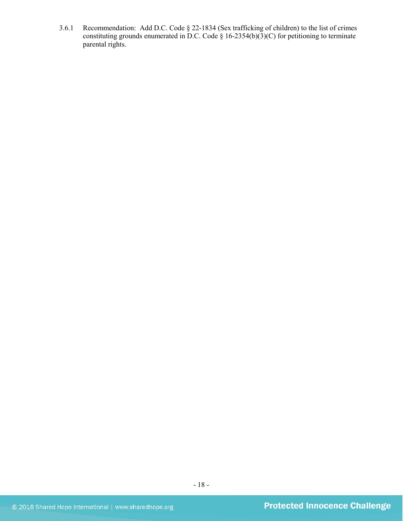3.6.1 Recommendation: Add D.C. Code § 22-1834 (Sex trafficking of children) to the list of crimes constituting grounds enumerated in D.C. Code § 16-2354(b)(3)(C) for petitioning to terminate parental rights.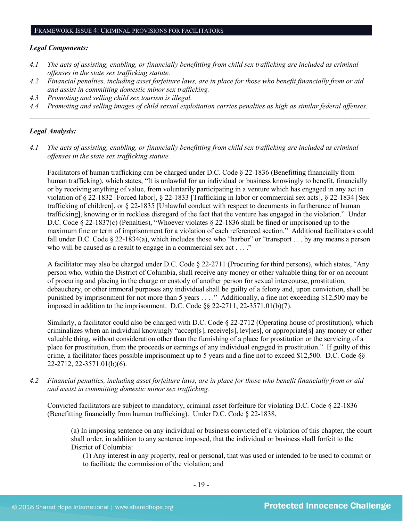#### *Legal Components:*

- *4.1 The acts of assisting, enabling, or financially benefitting from child sex trafficking are included as criminal offenses in the state sex trafficking statute.*
- *4.2 Financial penalties, including asset forfeiture laws, are in place for those who benefit financially from or aid and assist in committing domestic minor sex trafficking.*
- *4.3 Promoting and selling child sex tourism is illegal.*
- *4.4 Promoting and selling images of child sexual exploitation carries penalties as high as similar federal offenses. \_\_\_\_\_\_\_\_\_\_\_\_\_\_\_\_\_\_\_\_\_\_\_\_\_\_\_\_\_\_\_\_\_\_\_\_\_\_\_\_\_\_\_\_\_\_\_\_\_\_\_\_\_\_\_\_\_\_\_\_\_\_\_\_\_\_\_\_\_\_\_\_\_\_\_\_\_\_\_\_\_\_\_\_\_\_\_\_\_\_\_\_\_\_*

#### *Legal Analysis:*

*4.1 The acts of assisting, enabling, or financially benefitting from child sex trafficking are included as criminal offenses in the state sex trafficking statute.*

Facilitators of human trafficking can be charged under D.C. Code § 22-1836 (Benefitting financially from human trafficking), which states, "It is unlawful for an individual or business knowingly to benefit, financially or by receiving anything of value, from voluntarily participating in a venture which has engaged in any act in violation of § 22-1832 [Forced labor], § 22-1833 [Trafficking in labor or commercial sex acts], § 22-1834 [Sex trafficking of children], or § 22-1835 [Unlawful conduct with respect to documents in furtherance of human trafficking], knowing or in reckless disregard of the fact that the venture has engaged in the violation." Under D.C. Code § 22-1837(c) (Penalties), "Whoever violates § 22-1836 shall be fined or imprisoned up to the maximum fine or term of imprisonment for a violation of each referenced section." Additional facilitators could fall under D.C. Code § 22-1834(a), which includes those who "harbor" or "transport . . . by any means a person who will be caused as a result to engage in a commercial sex act . . . ."

A facilitator may also be charged under D.C. Code § 22-2711 (Procuring for third persons), which states, "Any person who, within the District of Columbia, shall receive any money or other valuable thing for or on account of procuring and placing in the charge or custody of another person for sexual intercourse, prostitution, debauchery, or other immoral purposes any individual shall be guilty of a felony and, upon conviction, shall be punished by imprisonment for not more than 5 years . . . ." Additionally, a fine not exceeding \$12,500 may be imposed in addition to the imprisonment. D.C. Code §§ 22-2711, 22-3571.01(b)(7).

Similarly, a facilitator could also be charged with D.C. Code § 22-2712 (Operating house of prostitution), which criminalizes when an individual knowingly "accept[s], receive[s], lev[ies], or appropriate[s] any money or other valuable thing, without consideration other than the furnishing of a place for prostitution or the servicing of a place for prostitution, from the proceeds or earnings of any individual engaged in prostitution." If guilty of this crime, a facilitator faces possible imprisonment up to 5 years and a fine not to exceed \$12,500. D.C. Code §§ 22-2712, 22-3571.01(b)(6).

*4.2 Financial penalties, including asset forfeiture laws, are in place for those who benefit financially from or aid and assist in committing domestic minor sex trafficking.*

Convicted facilitators are subject to mandatory, criminal asset forfeiture for violating D.C. Code § 22-1836 (Benefitting financially from human trafficking). Under D.C. Code § 22-1838,

(a) In imposing sentence on any individual or business convicted of a violation of this chapter, the court shall order, in addition to any sentence imposed, that the individual or business shall forfeit to the District of Columbia:

(1) Any interest in any property, real or personal, that was used or intended to be used to commit or to facilitate the commission of the violation; and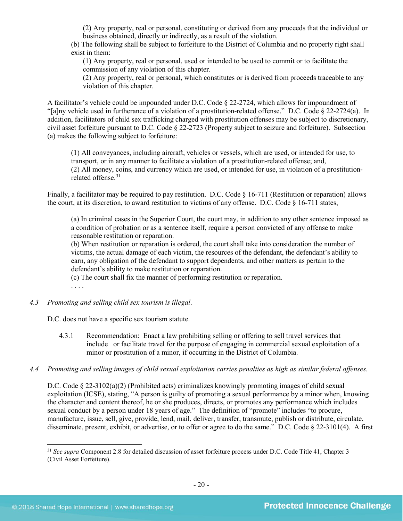(2) Any property, real or personal, constituting or derived from any proceeds that the individual or business obtained, directly or indirectly, as a result of the violation.

(b) The following shall be subject to forfeiture to the District of Columbia and no property right shall exist in them:

(1) Any property, real or personal, used or intended to be used to commit or to facilitate the commission of any violation of this chapter.

(2) Any property, real or personal, which constitutes or is derived from proceeds traceable to any violation of this chapter.

A facilitator's vehicle could be impounded under D.C. Code § 22-2724, which allows for impoundment of "[a]ny vehicle used in furtherance of a violation of a prostitution-related offense." D.C. Code § 22-2724(a). In addition, facilitators of child sex trafficking charged with prostitution offenses may be subject to discretionary, civil asset forfeiture pursuant to D.C. Code § 22-2723 (Property subject to seizure and forfeiture). Subsection (a) makes the following subject to forfeiture:

(1) All conveyances, including aircraft, vehicles or vessels, which are used, or intended for use, to transport, or in any manner to facilitate a violation of a prostitution-related offense; and, (2) All money, coins, and currency which are used, or intended for use, in violation of a prostitutionrelated offense. [31](#page-19-0)

Finally, a facilitator may be required to pay restitution. D.C. Code § 16-711 (Restitution or reparation) allows the court, at its discretion, to award restitution to victims of any offense. D.C. Code § 16-711 states,

(a) In criminal cases in the Superior Court, the court may, in addition to any other sentence imposed as a condition of probation or as a sentence itself, require a person convicted of any offense to make reasonable restitution or reparation.

(b) When restitution or reparation is ordered, the court shall take into consideration the number of victims, the actual damage of each victim, the resources of the defendant, the defendant's ability to earn, any obligation of the defendant to support dependents, and other matters as pertain to the defendant's ability to make restitution or reparation.

(c) The court shall fix the manner of performing restitution or reparation.

. . . .

#### *4.3 Promoting and selling child sex tourism is illegal*.

D.C. does not have a specific sex tourism statute.

- 4.3.1 Recommendation: Enact a law prohibiting selling or offering to sell travel services that include or facilitate travel for the purpose of engaging in commercial sexual exploitation of a minor or prostitution of a minor, if occurring in the District of Columbia.
- *4.4 Promoting and selling images of child sexual exploitation carries penalties as high as similar federal offenses.*

D.C. Code § 22-3102(a)(2) (Prohibited acts) criminalizes knowingly promoting images of child sexual exploitation (ICSE), stating, "A person is guilty of promoting a sexual performance by a minor when, knowing the character and content thereof, he or she produces, directs, or promotes any performance which includes sexual conduct by a person under 18 years of age." The definition of "promote" includes "to procure, manufacture, issue, sell, give, provide, lend, mail, deliver, transfer, transmute, publish or distribute, circulate, disseminate, present, exhibit, or advertise, or to offer or agree to do the same." D.C. Code § 22-3101(4). A first

<span id="page-19-0"></span><sup>&</sup>lt;sup>31</sup> *See supra* Component 2.8 for detailed discussion of asset forfeiture process under D.C. Code Title 41, Chapter 3 (Civil Asset Forfeiture).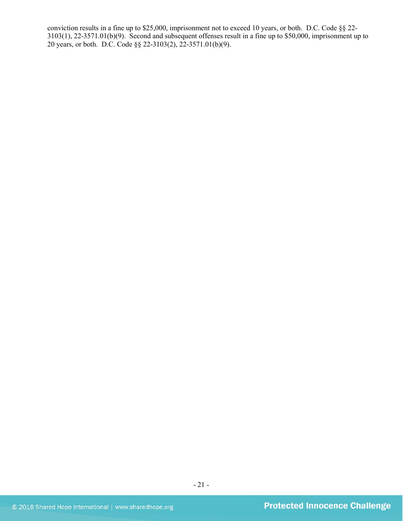conviction results in a fine up to \$25,000, imprisonment not to exceed 10 years, or both. D.C. Code §§ 22- 3103(1), 22-3571.01(b)(9). Second and subsequent offenses result in a fine up to \$50,000, imprisonment up to 20 years, or both. D.C. Code §§ 22-3103(2), 22-3571.01(b)(9).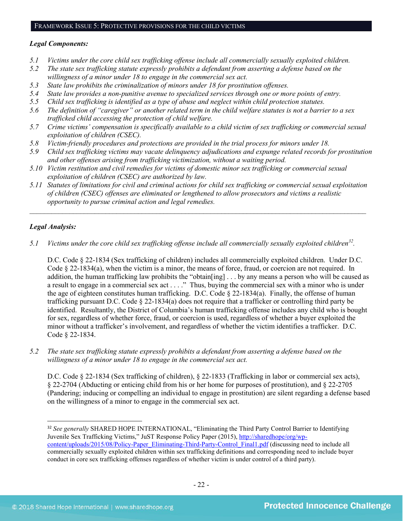## *Legal Components:*

- *5.1 Victims under the core child sex trafficking offense include all commercially sexually exploited children.*
- *5.2 The state sex trafficking statute expressly prohibits a defendant from asserting a defense based on the willingness of a minor under 18 to engage in the commercial sex act.*
- *5.3 State law prohibits the criminalization of minors under 18 for prostitution offenses.*
- *5.4 State law provides a non-punitive avenue to specialized services through one or more points of entry.*
- *5.5 Child sex trafficking is identified as a type of abuse and neglect within child protection statutes.*
- *5.6 The definition of "caregiver" or another related term in the child welfare statutes is not a barrier to a sex trafficked child accessing the protection of child welfare.*
- *5.7 Crime victims' compensation is specifically available to a child victim of sex trafficking or commercial sexual exploitation of children (CSEC).*
- *5.8 Victim-friendly procedures and protections are provided in the trial process for minors under 18.*
- *5.9 Child sex trafficking victims may vacate delinquency adjudications and expunge related records for prostitution and other offenses arising from trafficking victimization, without a waiting period.*
- *5.10 Victim restitution and civil remedies for victims of domestic minor sex trafficking or commercial sexual exploitation of children (CSEC) are authorized by law.*
- *5.11 Statutes of limitations for civil and criminal actions for child sex trafficking or commercial sexual exploitation of children (CSEC) offenses are eliminated or lengthened to allow prosecutors and victims a realistic opportunity to pursue criminal action and legal remedies.*

*\_\_\_\_\_\_\_\_\_\_\_\_\_\_\_\_\_\_\_\_\_\_\_\_\_\_\_\_\_\_\_\_\_\_\_\_\_\_\_\_\_\_\_\_\_\_\_\_\_\_\_\_\_\_\_\_\_\_\_\_\_\_\_\_\_\_\_\_\_\_\_\_\_\_\_\_\_\_\_\_\_\_\_\_\_\_\_\_\_\_\_\_\_*

## *Legal Analysis:*

*5.1 Victims under the core child sex trafficking offense include all commercially sexually exploited children[32.](#page-21-0)* 

D.C. Code § 22-1834 (Sex trafficking of children) includes all commercially exploited children. Under D.C. Code § 22-1834(a), when the victim is a minor, the means of force, fraud, or coercion are not required. In addition, the human trafficking law prohibits the "obtain[ing] . . . by any means a person who will be caused as a result to engage in a commercial sex act . . . ." Thus, buying the commercial sex with a minor who is under the age of eighteen constitutes human trafficking. D.C. Code § 22-1834(a). Finally, the offense of human trafficking pursuant D.C. Code § 22-1834(a) does not require that a trafficker or controlling third party be identified. Resultantly, the District of Columbia's human trafficking offense includes any child who is bought for sex, regardless of whether force, fraud, or coercion is used, regardless of whether a buyer exploited the minor without a trafficker's involvement, and regardless of whether the victim identifies a trafficker. D.C. Code § 22-1834.

*5.2 The state sex trafficking statute expressly prohibits a defendant from asserting a defense based on the willingness of a minor under 18 to engage in the commercial sex act.* 

D.C. Code § 22-1834 (Sex trafficking of children), § 22-1833 (Trafficking in labor or commercial sex acts), § 22-2704 (Abducting or enticing child from his or her home for purposes of prostitution), and § 22-2705 (Pandering; inducing or compelling an individual to engage in prostitution) are silent regarding a defense based on the willingness of a minor to engage in the commercial sex act.

<span id="page-21-0"></span> <sup>32</sup> *See generally* SHARED HOPE INTERNATIONAL, "Eliminating the Third Party Control Barrier to Identifying Juvenile Sex Trafficking Victims," JuST Response Policy Paper (2015), [http://sharedhope/org/wp](http://sharedhope/org/wp-content/uploads/2015/08/Policy-Paper_Eliminating-Third-Party-Control_Final1.pdf)[content/uploads/2015/08/Policy-Paper\\_Eliminating-Third-Party-Control\\_Final1.pdf](http://sharedhope/org/wp-content/uploads/2015/08/Policy-Paper_Eliminating-Third-Party-Control_Final1.pdf) (discussing need to include all commercially sexually exploited children within sex trafficking definitions and corresponding need to include buyer conduct in core sex trafficking offenses regardless of whether victim is under control of a third party).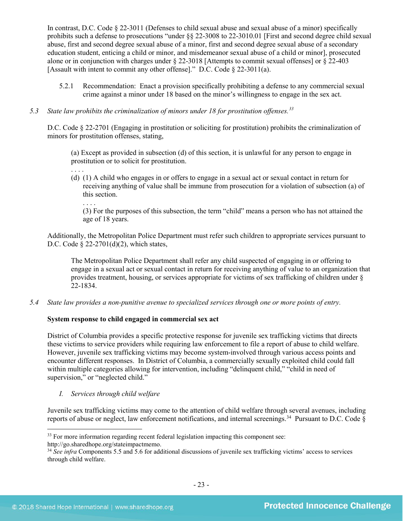In contrast, D.C. Code § 22-3011 (Defenses to child sexual abuse and sexual abuse of a minor) specifically prohibits such a defense to prosecutions "under §§ 22-3008 to 22-3010.01 [First and second degree child sexual abuse, first and second degree sexual abuse of a minor, first and second degree sexual abuse of a secondary education student, enticing a child or minor, and misdemeanor sexual abuse of a child or minor], prosecuted alone or in conjunction with charges under § 22-3018 [Attempts to commit sexual offenses] or § 22-403 [Assault with intent to commit any other offense]." D.C. Code § 22-3011(a).

5.2.1 Recommendation: Enact a provision specifically prohibiting a defense to any commercial sexual crime against a minor under 18 based on the minor's willingness to engage in the sex act.

## *5.3 State law prohibits the criminalization of minors under 18 for prostitution offenses.[33](#page-22-0)*

D.C. Code § 22-2701 (Engaging in prostitution or soliciting for prostitution) prohibits the criminalization of minors for prostitution offenses, stating,

(a) Except as provided in subsection (d) of this section, it is unlawful for any person to engage in prostitution or to solicit for prostitution.

(d) (1) A child who engages in or offers to engage in a sexual act or sexual contact in return for receiving anything of value shall be immune from prosecution for a violation of subsection (a) of this section.

(3) For the purposes of this subsection, the term "child" means a person who has not attained the age of 18 years.

Additionally, the Metropolitan Police Department must refer such children to appropriate services pursuant to D.C. Code § 22-2701(d)(2), which states,

The Metropolitan Police Department shall refer any child suspected of engaging in or offering to engage in a sexual act or sexual contact in return for receiving anything of value to an organization that provides treatment, housing, or services appropriate for victims of sex trafficking of children under § 22-1834.

*5.4 State law provides a non-punitive avenue to specialized services through one or more points of entry.*

## **System response to child engaged in commercial sex act**

District of Columbia provides a specific protective response for juvenile sex trafficking victims that directs these victims to service providers while requiring law enforcement to file a report of abuse to child welfare. However, juvenile sex trafficking victims may become system-involved through various access points and encounter different responses. In District of Columbia, a commercially sexually exploited child could fall within multiple categories allowing for intervention, including "delinquent child," "child in need of supervision," or "neglected child."

*I. Services through child welfare*

. . . .

. . . .

Juvenile sex trafficking victims may come to the attention of child welfare through several avenues, including reports of abuse or neglect, law enforcement notifications, and internal screenings. [34](#page-22-1) Pursuant to D.C. Code §

l

<span id="page-22-0"></span><sup>&</sup>lt;sup>33</sup> For more information regarding recent federal legislation impacting this component see:

http://go.sharedhope.org/stateimpactmemo.

<span id="page-22-1"></span><sup>34</sup> *See infra* Components 5.5 and 5.6 for additional discussions of juvenile sex trafficking victims' access to services through child welfare.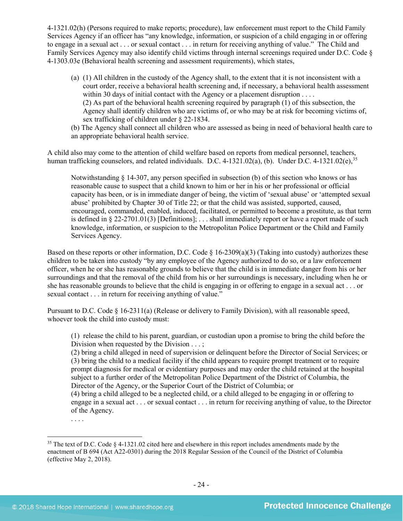4-1321.02(h) (Persons required to make reports; procedure), law enforcement must report to the Child Family Services Agency if an officer has "any knowledge, information, or suspicion of a child engaging in or offering to engage in a sexual act . . . or sexual contact . . . in return for receiving anything of value." The Child and Family Services Agency may also identify child victims through internal screenings required under D.C. Code § 4-1303.03e (Behavioral health screening and assessment requirements), which states,

- (a) (1) All children in the custody of the Agency shall, to the extent that it is not inconsistent with a court order, receive a behavioral health screening and, if necessary, a behavioral health assessment within 30 days of initial contact with the Agency or a placement disruption . . . . (2) As part of the behavioral health screening required by paragraph (1) of this subsection, the Agency shall identify children who are victims of, or who may be at risk for becoming victims of, sex trafficking of children under § 22-1834.
- (b) The Agency shall connect all children who are assessed as being in need of behavioral health care to an appropriate behavioral health service.

A child also may come to the attention of child welfare based on reports from medical personnel, teachers, human trafficking counselors, and related individuals. D.C. 4-1321.02(a), (b). Under D.C. 4-1321.02(e),  $35$ 

Notwithstanding  $\S$  14-307, any person specified in subsection (b) of this section who knows or has reasonable cause to suspect that a child known to him or her in his or her professional or official capacity has been, or is in immediate danger of being, the victim of 'sexual abuse' or 'attempted sexual abuse' prohibited by Chapter 30 of Title 22; or that the child was assisted, supported, caused, encouraged, commanded, enabled, induced, facilitated, or permitted to become a prostitute, as that term is defined in § 22-2701.01(3) [Definitions]; ... shall immediately report or have a report made of such knowledge, information, or suspicion to the Metropolitan Police Department or the Child and Family Services Agency.

Based on these reports or other information, D.C. Code § 16-2309(a)(3) (Taking into custody) authorizes these children to be taken into custody "by any employee of the Agency authorized to do so, or a law enforcement officer, when he or she has reasonable grounds to believe that the child is in immediate danger from his or her surroundings and that the removal of the child from his or her surroundings is necessary, including when he or she has reasonable grounds to believe that the child is engaging in or offering to engage in a sexual act . . . or sexual contact . . . in return for receiving anything of value."

Pursuant to D.C. Code § 16-2311(a) (Release or delivery to Family Division), with all reasonable speed, whoever took the child into custody must:

(1) release the child to his parent, guardian, or custodian upon a promise to bring the child before the Division when requested by the Division . . . ;

(2) bring a child alleged in need of supervision or delinquent before the Director of Social Services; or (3) bring the child to a medical facility if the child appears to require prompt treatment or to require prompt diagnosis for medical or evidentiary purposes and may order the child retained at the hospital subject to a further order of the Metropolitan Police Department of the District of Columbia, the Director of the Agency, or the Superior Court of the District of Columbia; or

(4) bring a child alleged to be a neglected child, or a child alleged to be engaging in or offering to engage in a sexual act . . . or sexual contact . . . in return for receiving anything of value, to the Director of the Agency.

l

<sup>. . . .</sup>

<span id="page-23-0"></span><sup>&</sup>lt;sup>35</sup> The text of D.C. Code § 4-1321.02 cited here and elsewhere in this report includes amendments made by the enactment of B 694 (Act A22-0301) during the 2018 Regular Session of the Council of the District of Columbia (effective May 2, 2018).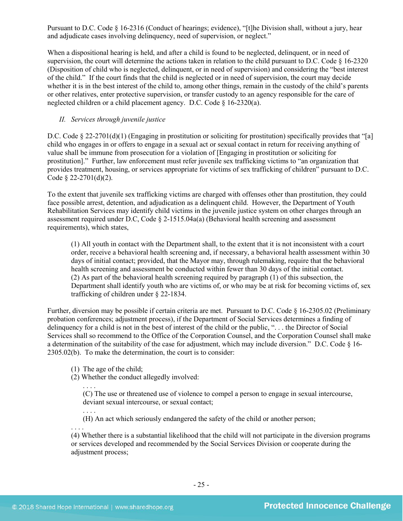Pursuant to D.C. Code § 16-2316 (Conduct of hearings; evidence), "[t]he Division shall, without a jury, hear and adjudicate cases involving delinquency, need of supervision, or neglect."

When a dispositional hearing is held, and after a child is found to be neglected, delinquent, or in need of supervision, the court will determine the actions taken in relation to the child pursuant to D.C. Code  $\S$  16-2320 (Disposition of child who is neglected, delinquent, or in need of supervision) and considering the "best interest of the child." If the court finds that the child is neglected or in need of supervision, the court may decide whether it is in the best interest of the child to, among other things, remain in the custody of the child's parents or other relatives, enter protective supervision, or transfer custody to an agency responsible for the care of neglected children or a child placement agency. D.C. Code § 16-2320(a).

## *II. Services through juvenile justice*

D.C. Code § 22-2701(d)(1) (Engaging in prostitution or soliciting for prostitution) specifically provides that "[a] child who engages in or offers to engage in a sexual act or sexual contact in return for receiving anything of value shall be immune from prosecution for a violation of [Engaging in prostitution or soliciting for prostitution]." Further, law enforcement must refer juvenile sex trafficking victims to "an organization that provides treatment, housing, or services appropriate for victims of sex trafficking of children" pursuant to D.C. Code  $\S$  22-2701(d)(2).

To the extent that juvenile sex trafficking victims are charged with offenses other than prostitution, they could face possible arrest, detention, and adjudication as a delinquent child. However, the Department of Youth Rehabilitation Services may identify child victims in the juvenile justice system on other charges through an assessment required under D.C, Code  $\S$  2-1515.04a(a) (Behavioral health screening and assessment requirements), which states,

(1) All youth in contact with the Department shall, to the extent that it is not inconsistent with a court order, receive a behavioral health screening and, if necessary, a behavioral health assessment within 30 days of initial contact; provided, that the Mayor may, through rulemaking, require that the behavioral health screening and assessment be conducted within fewer than 30 days of the initial contact. (2) As part of the behavioral health screening required by paragraph (1) of this subsection, the Department shall identify youth who are victims of, or who may be at risk for becoming victims of, sex trafficking of children under § 22-1834.

Further, diversion may be possible if certain criteria are met. Pursuant to D.C. Code § 16-2305.02 (Preliminary probation conferences; adjustment process), if the Department of Social Services determines a finding of delinquency for a child is not in the best of interest of the child or the public, ". . . the Director of Social Services shall so recommend to the Office of the Corporation Counsel, and the Corporation Counsel shall make a determination of the suitability of the case for adjustment, which may include diversion." D.C. Code § 16- 2305.02(b). To make the determination, the court is to consider:

(1) The age of the child;

(2) Whether the conduct allegedly involved:

. . . . (C) The use or threatened use of violence to compel a person to engage in sexual intercourse, deviant sexual intercourse, or sexual contact;

(H) An act which seriously endangered the safety of the child or another person;

. . . . (4) Whether there is a substantial likelihood that the child will not participate in the diversion programs or services developed and recommended by the Social Services Division or cooperate during the adjustment process;

. . . .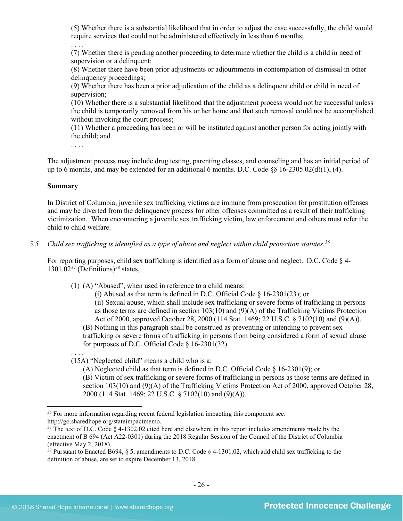(5) Whether there is a substantial likelihood that in order to adjust the case successfully, the child would require services that could not be administered effectively in less than 6 months;

(7) Whether there is pending another proceeding to determine whether the child is a child in need of supervision or a delinquent;

(8) Whether there have been prior adjustments or adjournments in contemplation of dismissal in other delinquency proceedings;

(9) Whether there has been a prior adjudication of the child as a delinquent child or child in need of supervision;

(10) Whether there is a substantial likelihood that the adjustment process would not be successful unless the child is temporarily removed from his or her home and that such removal could not be accomplished without invoking the court process;

(11) Whether a proceeding has been or will be instituted against another person for acting jointly with the child; and

. . . .

. . . .

The adjustment process may include drug testing, parenting classes, and counseling and has an initial period of up to 6 months, and may be extended for an additional 6 months. D.C. Code  $\S$ § 16-2305.02(d)(1), (4).

#### **Summary**

In District of Columbia, juvenile sex trafficking victims are immune from prosecution for prostitution offenses and may be diverted from the delinquency process for other offenses committed as a result of their trafficking victimization. When encountering a juvenile sex trafficking victim, law enforcement and others must refer the child to child welfare.

*5.5 Child sex trafficking is identified as a type of abuse and neglect within child protection statutes.[36](#page-25-0)*

For reporting purposes, child sex trafficking is identified as a form of abuse and neglect. D.C. Code § 4-  $1301.02^{37}$  $1301.02^{37}$  $1301.02^{37}$  (Definitions)<sup>[38](#page-25-2)</sup> states,

(1) (A) "Abused", when used in reference to a child means:

(i) Abused as that term is defined in D.C. Official Code § 16-2301(23); or (ii) Sexual abuse, which shall include sex trafficking or severe forms of trafficking in persons as those terms are defined in section 103(10) and (9)(A) of the Trafficking Victims Protection Act of 2000, approved October 28, 2000 (114 Stat. 1469; 22 U.S.C. § 7102(10) and (9)(A)). (B) Nothing in this paragraph shall be construed as preventing or intending to prevent sex trafficking or severe forms of trafficking in persons from being considered a form of sexual abuse for purposes of D.C. Official Code § 16-2301(32).

. . . . (15A) "Neglected child" means a child who is a:

(A) Neglected child as that term is defined in D.C. Official Code § 16-2301(9); or

(B) Victim of sex trafficking or severe forms of trafficking in persons as those terms are defined in section 103(10) and (9)(A) of the Trafficking Victims Protection Act of 2000, approved October 28, 2000 (114 Stat. 1469; 22 U.S.C. § 7102(10) and (9)(A)).

<span id="page-25-0"></span> $\overline{\phantom{a}}$ <sup>36</sup> For more information regarding recent federal legislation impacting this component see: http://go.sharedhope.org/stateimpactmemo.

<span id="page-25-1"></span><sup>&</sup>lt;sup>37</sup> The text of D.C. Code § 4-1302.02 cited here and elsewhere in this report includes amendments made by the enactment of B 694 (Act A22-0301) during the 2018 Regular Session of the Council of the District of Columbia (effective May 2, 2018).

<span id="page-25-2"></span><sup>&</sup>lt;sup>38</sup> Pursuant to Enacted B694, § 5, amendments to D.C. Code § 4-1301.02, which add child sex trafficking to the definition of abuse, are set to expire December 13, 2018.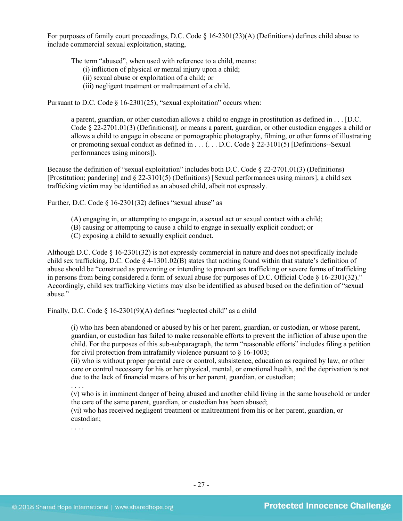For purposes of family court proceedings, D.C. Code § 16-2301(23)(A) (Definitions) defines child abuse to include commercial sexual exploitation, stating,

The term "abused", when used with reference to a child, means:

(i) infliction of physical or mental injury upon a child;

- (ii) sexual abuse or exploitation of a child; or
- (iii) negligent treatment or maltreatment of a child.

Pursuant to D.C. Code § 16-2301(25), "sexual exploitation" occurs when:

a parent, guardian, or other custodian allows a child to engage in prostitution as defined in . . . [D.C. Code § 22-2701.01(3) (Definitions)], or means a parent, guardian, or other custodian engages a child or allows a child to engage in obscene or pornographic photography, filming, or other forms of illustrating or promoting sexual conduct as defined in  $\dots$  ( $\dots$  D.C. Code § 22-3101(5) [Definitions--Sexual performances using minors]).

Because the definition of "sexual exploitation" includes both D.C. Code § 22-2701.01(3) (Definitions) [Prostitution; pandering] and § 22-3101(5) (Definitions) [Sexual performances using minors], a child sex trafficking victim may be identified as an abused child, albeit not expressly.

Further, D.C. Code § 16-2301(32) defines "sexual abuse" as

- (A) engaging in, or attempting to engage in, a sexual act or sexual contact with a child;
- (B) causing or attempting to cause a child to engage in sexually explicit conduct; or
- (C) exposing a child to sexually explicit conduct.

Although D.C. Code § 16-2301(32) is not expressly commercial in nature and does not specifically include child sex trafficking, D.C. Code § 4-1301.02(B) states that nothing found within that statute's definition of abuse should be "construed as preventing or intending to prevent sex trafficking or severe forms of trafficking in persons from being considered a form of sexual abuse for purposes of D.C. Official Code § 16-2301(32)." Accordingly, child sex trafficking victims may also be identified as abused based on the definition of "sexual abuse."

Finally, D.C. Code § 16-2301(9)(A) defines "neglected child" as a child

(i) who has been abandoned or abused by his or her parent, guardian, or custodian, or whose parent, guardian, or custodian has failed to make reasonable efforts to prevent the infliction of abuse upon the child. For the purposes of this sub-subparagraph, the term "reasonable efforts" includes filing a petition for civil protection from intrafamily violence pursuant to § 16-1003;

(ii) who is without proper parental care or control, subsistence, education as required by law, or other care or control necessary for his or her physical, mental, or emotional health, and the deprivation is not due to the lack of financial means of his or her parent, guardian, or custodian;

. . . .

(v) who is in imminent danger of being abused and another child living in the same household or under the care of the same parent, guardian, or custodian has been abused;

(vi) who has received negligent treatment or maltreatment from his or her parent, guardian, or custodian;

. . . .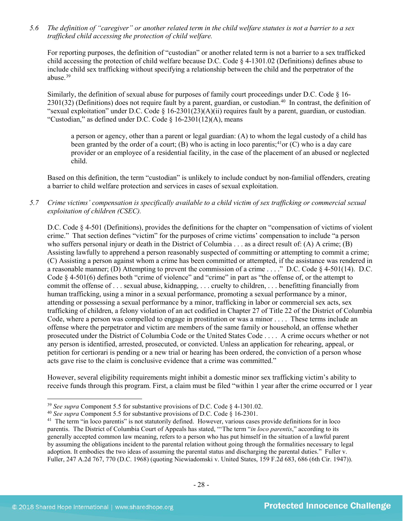*5.6 The definition of "caregiver" or another related term in the child welfare statutes is not a barrier to a sex trafficked child accessing the protection of child welfare.*

For reporting purposes, the definition of "custodian" or another related term is not a barrier to a sex trafficked child accessing the protection of child welfare because D.C. Code § 4-1301.02 (Definitions) defines abuse to include child sex trafficking without specifying a relationship between the child and the perpetrator of the abuse.[39](#page-27-0)

Similarly, the definition of sexual abuse for purposes of family court proceedings under D.C. Code § 16- 2301(32) (Definitions) does not require fault by a parent, guardian, or custodian. [40](#page-27-1) In contrast, the definition of "sexual exploitation" under D.C. Code § 16-2301(23)(A)(ii) requires fault by a parent, guardian, or custodian. "Custodian," as defined under D.C. Code  $\S$  16-2301(12)(A), means

a person or agency, other than a parent or legal guardian: (A) to whom the legal custody of a child has been granted by the order of a court; (B) who is acting in loco parentis;<sup>[41](#page-27-2)</sup>or (C) who is a day care provider or an employee of a residential facility, in the case of the placement of an abused or neglected child.

Based on this definition, the term "custodian" is unlikely to include conduct by non-familial offenders, creating a barrier to child welfare protection and services in cases of sexual exploitation.

*5.7 Crime victims' compensation is specifically available to a child victim of sex trafficking or commercial sexual exploitation of children (CSEC).*

D.C. Code § 4-501 (Definitions), provides the definitions for the chapter on "compensation of victims of violent crime." That section defines "victim" for the purposes of crime victims' compensation to include "a person who suffers personal injury or death in the District of Columbia . . . as a direct result of: (A) A crime; (B) Assisting lawfully to apprehend a person reasonably suspected of committing or attempting to commit a crime; (C) Assisting a person against whom a crime has been committed or attempted, if the assistance was rendered in a reasonable manner; (D) Attempting to prevent the commission of a crime . . . ." D.C. Code § 4-501(14). D.C. Code § 4-501(6) defines both "crime of violence" and "crime" in part as "the offense of, or the attempt to commit the offense of . . . sexual abuse, kidnapping, . . . cruelty to children, . . . benefitting financially from human trafficking, using a minor in a sexual performance, promoting a sexual performance by a minor, attending or possessing a sexual performance by a minor, trafficking in labor or commercial sex acts, sex trafficking of children, a felony violation of an act codified in Chapter 27 of Title 22 of the District of Columbia Code, where a person was compelled to engage in prostitution or was a minor . . . . These terms include an offense where the perpetrator and victim are members of the same family or household, an offense whether prosecuted under the District of Columbia Code or the United States Code . . . . A crime occurs whether or not any person is identified, arrested, prosecuted, or convicted. Unless an application for rehearing, appeal, or petition for certiorari is pending or a new trial or hearing has been ordered, the conviction of a person whose acts gave rise to the claim is conclusive evidence that a crime was committed."

However, several eligibility requirements might inhibit a domestic minor sex trafficking victim's ability to receive funds through this program. First, a claim must be filed "within 1 year after the crime occurred or 1 year

<span id="page-27-0"></span><sup>39</sup> *See supra* Component 5.5 for substantive provisions of D.C. Code § 4-1301.02.

<span id="page-27-1"></span><sup>40</sup> *See supra* Component 5.5 for substantive provisions of D.C. Code § 16-2301.

<span id="page-27-2"></span><sup>&</sup>lt;sup>41</sup> The term "in loco parentis" is not statutorily defined. However, various cases provide definitions for in loco parentis. The District of Columbia Court of Appeals has stated, "'The term "*in loco parentis*," according to its generally accepted common law meaning, refers to a person who has put himself in the situation of a lawful parent by assuming the obligations incident to the parental relation without going through the formalities necessary to legal adoption. It embodies the two ideas of assuming the parental status and discharging the parental duties." Fuller v. Fuller, 247 A.2d 767, 770 (D.C. 1968) (quoting Niewiadomski v. United States, 159 F.2d 683, 686 (6th Cir. 1947)).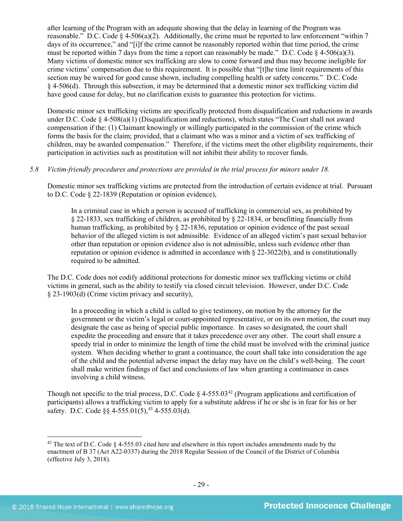after learning of the Program with an adequate showing that the delay in learning of the Program was reasonable." D.C. Code  $\S 4-506(a)(2)$ . Additionally, the crime must be reported to law enforcement "within 7 days of its occurrence," and "[i]f the crime cannot be reasonably reported within that time period, the crime must be reported within 7 days from the time a report can reasonably be made." D.C. Code  $\S$  4-506(a)(3). Many victims of domestic minor sex trafficking are slow to come forward and thus may become ineligible for crime victims' compensation due to this requirement. It is possible that "[t]he time limit requirements of this section may be waived for good cause shown, including compelling health or safety concerns." D.C. Code § 4-506(d). Through this subsection, it may be determined that a domestic minor sex trafficking victim did have good cause for delay, but no clarification exists to guarantee this protection for victims.

Domestic minor sex trafficking victims are specifically protected from disqualification and reductions in awards under D.C. Code § 4-508(a)(1) (Disqualification and reductions), which states "The Court shall not award compensation if the: (1) Claimant knowingly or willingly participated in the commission of the crime which forms the basis for the claim; provided, that a claimant who was a minor and a victim of sex trafficking of children, may be awarded compensation." Therefore, if the victims meet the other eligibility requirements, their participation in activities such as prostitution will not inhibit their ability to recover funds.

## *5.8 Victim-friendly procedures and protections are provided in the trial process for minors under 18.*

Domestic minor sex trafficking victims are protected from the introduction of certain evidence at trial. Pursuant to D.C. Code § 22-1839 (Reputation or opinion evidence),

In a criminal case in which a person is accused of trafficking in commercial sex, as prohibited by § 22-1833, sex trafficking of children, as prohibited by § 22-1834, or benefitting financially from human trafficking, as prohibited by § 22-1836, reputation or opinion evidence of the past sexual behavior of the alleged victim is not admissible. Evidence of an alleged victim's past sexual behavior other than reputation or opinion evidence also is not admissible, unless such evidence other than reputation or opinion evidence is admitted in accordance with  $\S 22-3022(b)$ , and is constitutionally required to be admitted.

<span id="page-28-1"></span>The D.C. Code does not codify additional protections for domestic minor sex trafficking victims or child victims in general, such as the ability to testify via closed circuit television. However, under D.C. Code § 23-1903(d) (Crime victim privacy and security),

In a proceeding in which a child is called to give testimony, on motion by the attorney for the government or the victim's legal or court-appointed representative, or on its own motion, the court may designate the case as being of special public importance. In cases so designated, the court shall expedite the proceeding and ensure that it takes precedence over any other. The court shall ensure a speedy trial in order to minimize the length of time the child must be involved with the criminal justice system. When deciding whether to grant a continuance, the court shall take into consideration the age of the child and the potential adverse impact the delay may have on the child's well-being. The court shall make written findings of fact and conclusions of law when granting a continuance in cases involving a child witness.

Though not specific to the trial process, D.C. Code  $\S$  4-555.03<sup>[42](#page-28-0)</sup> (Program applications and certification of participants) allows a trafficking victim to apply for a substitute address if he or she is in fear for his or her safety. D.C. Code  $\S$ § 4-555.01(5),<sup>[43](#page-28-1)</sup> 4-555.03(d).

l

<span id="page-28-0"></span><sup>&</sup>lt;sup>42</sup> The text of D.C. Code  $\S$  4-555.03 cited here and elsewhere in this report includes amendments made by the enactment of B 37 (Act A22-0337) during the 2018 Regular Session of the Council of the District of Columbia (effective July 3, 2018).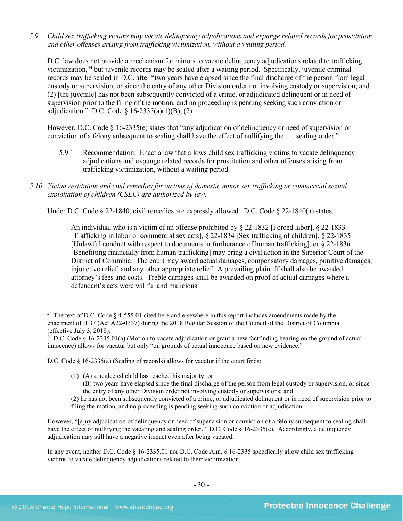*5.9 Child sex trafficking victims may vacate delinquency adjudications and expunge related records for prostitution and other offenses arising from trafficking victimization, without a waiting period.*

D.C. law does not provide a mechanism for minors to vacate delinquency adjudications related to trafficking victimization, [44](#page-29-0) but juvenile records may be sealed after a waiting period. Specifically, juvenile criminal records may be sealed in D.C. after "two years have elapsed since the final discharge of the person from legal custody or supervision, or since the entry of any other Division order not involving custody or supervision; and (2) [the juvenile] has not been subsequently convicted of a crime, or adjudicated delinquent or in need of supervision prior to the filing of the motion, and no proceeding is pending seeking such conviction or adjudication." D.C. Code § 16-2335(a)(1)(B), (2).

However, D.C. Code § 16-2335(e) states that "any adjudication of delinquency or need of supervision or conviction of a felony subsequent to sealing shall have the effect of nullifying the . . . sealing order."

- 5.9.1 Recommendation: Enact a law that allows child sex trafficking victims to vacate delinquency adjudications and expunge related records for prostitution and other offenses arising from trafficking victimization, without a waiting period.
- *5.10 Victim restitution and civil remedies for victims of domestic minor sex trafficking or commercial sexual exploitation of children (CSEC) are authorized by law.*

Under D.C. Code § 22-1840, civil remedies are expressly allowed. D.C. Code § 22-1840(a) states,

An individual who is a victim of an offense prohibited by [§ 22-1832](http://www.lexis.com/research/buttonTFLink?_m=07a112f99e7b8fc566d4fcb4c9fa62a8&_xfercite=%3ccite%20cc%3d%22USA%22%3e%3c%21%5bCDATA%5bD.C.%20Code%20%a7%2022-1840%5d%5d%3e%3c%2fcite%3e&_butType=4&_butStat=0&_butNum=2&_butInline=1&_butinfo=DCCODE%2022-1832&_fmtstr=FULL&docnum=1&_startdoc=1&wchp=dGLzVzz-zSkAA&_md5=d09117c980fc6ae3a7b6bc3a56660f67) [Forced labor], [§ 22-1833](http://www.lexis.com/research/buttonTFLink?_m=07a112f99e7b8fc566d4fcb4c9fa62a8&_xfercite=%3ccite%20cc%3d%22USA%22%3e%3c%21%5bCDATA%5bD.C.%20Code%20%a7%2022-1840%5d%5d%3e%3c%2fcite%3e&_butType=4&_butStat=0&_butNum=3&_butInline=1&_butinfo=DCCODE%2022-1833&_fmtstr=FULL&docnum=1&_startdoc=1&wchp=dGLzVzz-zSkAA&_md5=b996211e6beb44df20c43519df6654e6) [Trafficking in labor or commercial sex acts], [§ 22-1834](http://www.lexis.com/research/buttonTFLink?_m=07a112f99e7b8fc566d4fcb4c9fa62a8&_xfercite=%3ccite%20cc%3d%22USA%22%3e%3c%21%5bCDATA%5bD.C.%20Code%20%a7%2022-1840%5d%5d%3e%3c%2fcite%3e&_butType=4&_butStat=0&_butNum=4&_butInline=1&_butinfo=DCCODE%2022-1834&_fmtstr=FULL&docnum=1&_startdoc=1&wchp=dGLzVzz-zSkAA&_md5=a5557eeba140e1bcab6b6dc9c7f4621d) [Sex trafficking of children], [§ 22-1835](http://www.lexis.com/research/buttonTFLink?_m=07a112f99e7b8fc566d4fcb4c9fa62a8&_xfercite=%3ccite%20cc%3d%22USA%22%3e%3c%21%5bCDATA%5bD.C.%20Code%20%a7%2022-1840%5d%5d%3e%3c%2fcite%3e&_butType=4&_butStat=0&_butNum=5&_butInline=1&_butinfo=DCCODE%2022-1835&_fmtstr=FULL&docnum=1&_startdoc=1&wchp=dGLzVzz-zSkAA&_md5=90f235c81fba6d5127da38fd762ebe2a) [Unlawful conduct with respect to documents in furtherance of human trafficking], or [§ 22-1836](http://www.lexis.com/research/buttonTFLink?_m=07a112f99e7b8fc566d4fcb4c9fa62a8&_xfercite=%3ccite%20cc%3d%22USA%22%3e%3c%21%5bCDATA%5bD.C.%20Code%20%a7%2022-1840%5d%5d%3e%3c%2fcite%3e&_butType=4&_butStat=0&_butNum=6&_butInline=1&_butinfo=DCCODE%2022-1836&_fmtstr=FULL&docnum=1&_startdoc=1&wchp=dGLzVzz-zSkAA&_md5=e9ef8b950cc329647e4a5bc7da987e65) [Benefitting financially from human trafficking] may bring a civil action in the Superior Court of the District of Columbia. The court may award actual damages, compensatory damages, punitive damages, injunctive relief, and any other appropriate relief. A prevailing plaintiff shall also be awarded attorney's fees and costs. Treble damages shall be awarded on proof of actual damages where a defendant's acts were willful and malicious.

D.C. Code § 16-2335(a) (Sealing of records) allows for vacatur if the court finds:

- (1) (A) a neglected child has reached his majority; or
	- (B) two years have elapsed since the final discharge of the person from legal custody or supervision, or since the entry of any other Division order not involving custody or supervisions; and

(2) he has not been subsequently convicted of a crime, or adjudicated delinquent or in need of supervision prior to filing the motion, and no proceeding is pending seeking such conviction or adjudication.

However, "[a]ny adjudication of delinquency or need of supervision or conviction of a felony subsequent to sealing shall have the effect of nullifying the vacating and sealing order." D.C. Code § 16-2335(e). Accordingly, a delinquency adjudication may still have a negative impact even after being vacated.

In any event, neither D.C. Code § 16-2335.01 nor D.C. Code Ann. § 16-2335 specifically allow child sex trafficking victims to vacate delinquency adjudications related to their victimization.

<sup>&</sup>lt;sup>43</sup> The text of D.C. Code § 4-555.01 cited here and elsewhere in this report includes amendments made by the enactment of B 37 (Act A22-0337) during the 2018 Regular Session of the Council of the District of Columbia (effective July 3, 2018).

<span id="page-29-0"></span> $44$  D.C. Code § 16-2335.01(a) (Motion to vacate adjudication or grant a new factfinding hearing on the ground of actual innocence) allows for vacatur but only "on grounds of actual innocence based on new evidence."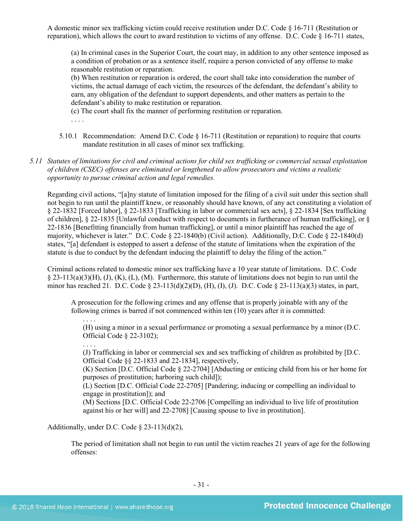A domestic minor sex trafficking victim could receive restitution under D.C. Code § 16-711 (Restitution or reparation), which allows the court to award restitution to victims of any offense. D.C. Code § 16-711 states,

(a) In criminal cases in the Superior Court, the court may, in addition to any other sentence imposed as a condition of probation or as a sentence itself, require a person convicted of any offense to make reasonable restitution or reparation.

(b) When restitution or reparation is ordered, the court shall take into consideration the number of victims, the actual damage of each victim, the resources of the defendant, the defendant's ability to earn, any obligation of the defendant to support dependents, and other matters as pertain to the defendant's ability to make restitution or reparation.

(c) The court shall fix the manner of performing restitution or reparation.

. . . .

5.10.1 Recommendation: Amend D.C. Code § 16-711 (Restitution or reparation) to require that courts mandate restitution in all cases of minor sex trafficking.

*5.11 Statutes of limitations for civil and criminal actions for child sex trafficking or commercial sexual exploitation of children (CSEC) offenses are eliminated or lengthened to allow prosecutors and victims a realistic opportunity to pursue criminal action and legal remedies.*

Regarding civil actions, "[a]ny statute of limitation imposed for the filing of a civil suit under this section shall not begin to run until the plaintiff knew, or reasonably should have known, of any act constituting a violation of § 22-1832 [Forced labor], § 22-1833 [Trafficking in labor or commercial sex acts], § 22-1834 [Sex trafficking of children], § 22-1835 [Unlawful conduct with respect to documents in furtherance of human trafficking], or § 22-1836 [Benefitting financially from human trafficking], or until a minor plaintiff has reached the age of majority, whichever is later." D.C. Code § 22-1840(b) (Civil action). Additionally, D.C. Code § 22-1840(d) states, "[a] defendant is estopped to assert a defense of the statute of limitations when the expiration of the statute is due to conduct by the defendant inducing the plaintiff to delay the filing of the action."

Criminal actions related to domestic minor sex trafficking have a 10 year statute of limitations. D.C. Code  $\S$  23-113(a)(3)(H), (J), (K), (L), (M). Furthermore, this statute of limitations does not begin to run until the minor has reached 21. D.C. Code § 23-113(d)(2)(D), (H), (I), (J). D.C. Code § 23-113(a)(3) states, in part,

A prosecution for the following crimes and any offense that is properly joinable with any of the following crimes is barred if not commenced within ten (10) years after it is committed:

. . . . (H) using a minor in a sexual performance or promoting a sexual performance by a minor (D.C. Official Code § 22-3102);

(J) Trafficking in labor or commercial sex and sex trafficking of children as prohibited by [D.C. Official Code §§ 22-1833 and 22-1834], respectively,

(K) Section [D.C. Official Code § 22-2704] [Abducting or enticing child from his or her home for purposes of prostitution; harboring such child]);

(L) Section [D.C. Official Code 22-2705] [Pandering; inducing or compelling an individual to engage in prostitution]); and

(M) Sections [D.C. Official Code 22-2706 [Compelling an individual to live life of prostitution against his or her will] and 22-2708] [Causing spouse to live in prostitution].

Additionally, under D.C. Code § 23-113(d)(2),

The period of limitation shall not begin to run until the victim reaches 21 years of age for the following offenses:

. . . .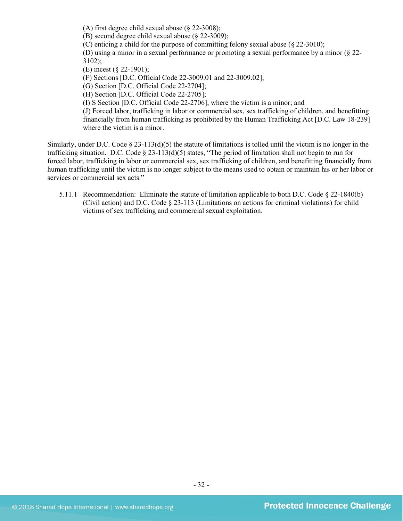(A) first degree child sexual abuse (§ 22-3008);

(B) second degree child sexual abuse (§ 22-3009);

(C) enticing a child for the purpose of committing felony sexual abuse (§ 22-3010);

(D) using a minor in a sexual performance or promoting a sexual performance by a minor (§ 22- 3102);

(E) incest (§ 22-1901);

(F) Sections [D.C. Official Code 22-3009.01 and 22-3009.02];

(G) Section [D.C. Official Code 22-2704];

(H) Section [D.C. Official Code 22-2705];

(I) S Section [D.C. Official Code 22-2706], where the victim is a minor; and

(J) Forced labor, trafficking in labor or commercial sex, sex trafficking of children, and benefitting financially from human trafficking as prohibited by the Human Trafficking Act [D.C. Law 18-239] where the victim is a minor.

Similarly, under D.C. Code  $\S$  23-113(d)(5) the statute of limitations is tolled until the victim is no longer in the trafficking situation. D.C. Code § 23-113(d)(5) states, "The period of limitation shall not begin to run for forced labor, trafficking in labor or commercial sex, sex trafficking of children, and benefitting financially from human trafficking until the victim is no longer subject to the means used to obtain or maintain his or her labor or services or commercial sex acts."

5.11.1 Recommendation: Eliminate the statute of limitation applicable to both D.C. Code § 22-1840(b) (Civil action) and D.C. Code § 23-113 (Limitations on actions for criminal violations) for child victims of sex trafficking and commercial sexual exploitation.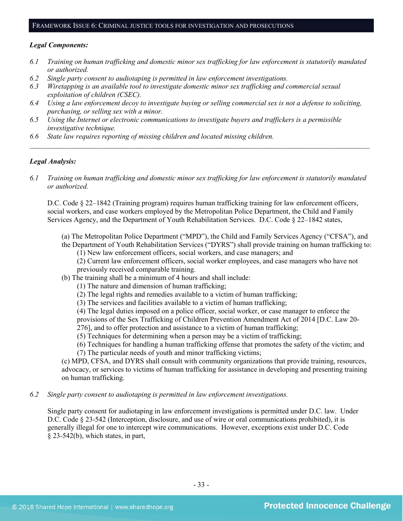#### FRAMEWORK ISSUE 6: CRIMINAL JUSTICE TOOLS FOR INVESTIGATION AND PROSECUTIONS

#### *Legal Components:*

- *6.1 Training on human trafficking and domestic minor sex trafficking for law enforcement is statutorily mandated or authorized.*
- *6.2 Single party consent to audiotaping is permitted in law enforcement investigations.*
- *6.3 Wiretapping is an available tool to investigate domestic minor sex trafficking and commercial sexual exploitation of children (CSEC).*
- *6.4 Using a law enforcement decoy to investigate buying or selling commercial sex is not a defense to soliciting, purchasing, or selling sex with a minor.*
- *6.5 Using the Internet or electronic communications to investigate buyers and traffickers is a permissible investigative technique.*
- *6.6 State law requires reporting of missing children and located missing children.*

#### *Legal Analysis:*

*6.1 Training on human trafficking and domestic minor sex trafficking for law enforcement is statutorily mandated or authorized.*

*\_\_\_\_\_\_\_\_\_\_\_\_\_\_\_\_\_\_\_\_\_\_\_\_\_\_\_\_\_\_\_\_\_\_\_\_\_\_\_\_\_\_\_\_\_\_\_\_\_\_\_\_\_\_\_\_\_\_\_\_\_\_\_\_\_\_\_\_\_\_\_\_\_\_\_\_\_\_\_\_\_\_\_\_\_\_\_\_\_\_\_\_\_\_*

D.C. Code § 22–1842 (Training program) requires human trafficking training for law enforcement officers, social workers, and case workers employed by the Metropolitan Police Department, the Child and Family Services Agency, and the Department of Youth Rehabilitation Services. D.C. Code § 22–1842 states,

- (a) The Metropolitan Police Department ("MPD"), the Child and Family Services Agency ("CFSA"), and the Department of Youth Rehabilitation Services ("DYRS") shall provide training on human trafficking to:
	- (1) New law enforcement officers, social workers, and case managers; and

(2) Current law enforcement officers, social worker employees, and case managers who have not previously received comparable training.

- (b) The training shall be a minimum of 4 hours and shall include:
	- (1) The nature and dimension of human trafficking;
	- (2) The legal rights and remedies available to a victim of human trafficking;
	- (3) The services and facilities available to a victim of human trafficking;

(4) The legal duties imposed on a police officer, social worker, or case manager to enforce the provisions of the Sex Trafficking of Children Prevention Amendment Act of 2014 [D.C. Law 20-

276], and to offer protection and assistance to a victim of human trafficking;

(5) Techniques for determining when a person may be a victim of trafficking;

(6) Techniques for handling a human trafficking offense that promotes the safety of the victim; and (7) The particular needs of youth and minor trafficking victims;

(c) MPD, CFSA, and DYRS shall consult with community organizations that provide training, resources, advocacy, or services to victims of human trafficking for assistance in developing and presenting training on human trafficking.

*6.2 Single party consent to audiotaping is permitted in law enforcement investigations.*

Single party consent for audiotaping in law enforcement investigations is permitted under D.C. law. Under D.C. Code § 23-542 (Interception, disclosure, and use of wire or oral communications prohibited), it is generally illegal for one to intercept wire communications. However, exceptions exist under D.C. Code § 23-542(b), which states, in part,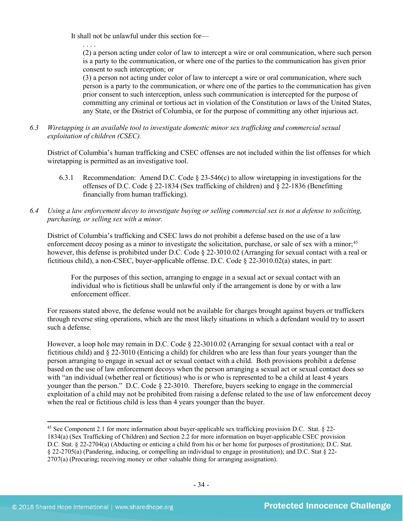It shall not be unlawful under this section for—

. . . . (2) a person acting under color of law to intercept a wire or oral communication, where such person is a party to the communication, or where one of the parties to the communication has given prior consent to such interception; or

(3) a person not acting under color of law to intercept a wire or oral communication, where such person is a party to the communication, or where one of the parties to the communication has given prior consent to such interception, unless such communication is intercepted for the purpose of committing any criminal or tortious act in violation of the Constitution or laws of the United States, any State, or the District of Columbia, or for the purpose of committing any other injurious act.

*6.3 Wiretapping is an available tool to investigate domestic minor sex trafficking and commercial sexual exploitation of children (CSEC).* 

District of Columbia's human trafficking and CSEC offenses are not included within the list offenses for which wiretapping is permitted as an investigative tool.

- 6.3.1 Recommendation: Amend D.C. Code  $\S$  23-546(c) to allow wiretapping in investigations for the offenses of D.C. Code § 22-1834 (Sex trafficking of children) and § 22-1836 (Benefitting financially from human trafficking).
- *6.4 Using a law enforcement decoy to investigate buying or selling commercial sex is not a defense to soliciting, purchasing, or selling sex with a minor.*

District of Columbia's trafficking and CSEC laws do not prohibit a defense based on the use of a law enforcement decoy posing as a minor to investigate the solicitation, purchase, or sale of sex with a minor;<sup>[45](#page-33-0)</sup> however, this defense is prohibited under D.C. Code § 22-3010.02 (Arranging for sexual contact with a real or fictitious child), a non-CSEC, buyer-applicable offense. D.C. Code § 22-3010.02(a) states, in part:

For the purposes of this section, arranging to engage in a sexual act or sexual contact with an individual who is fictitious shall be unlawful only if the arrangement is done by or with a law enforcement officer.

For reasons stated above, the defense would not be available for charges brought against buyers or traffickers through reverse sting operations, which are the most likely situations in which a defendant would try to assert such a defense.

However, a loop hole may remain in D.C. Code § 22-3010.02 (Arranging for sexual contact with a real or fictitious child) and § 22-3010 (Enticing a child) for children who are less than four years younger than the person arranging to engage in sexual act or sexual contact with a child. Both provisions prohibit a defense based on the use of law enforcement decoys when the person arranging a sexual act or sexual contact does so with "an individual (whether real or fictitious) who is or who is represented to be a child at least 4 years younger than the person." D.C. Code § 22-3010. Therefore, buyers seeking to engage in the commercial exploitation of a child may not be prohibited from raising a defense related to the use of law enforcement decoy when the real or fictitious child is less than 4 years younger than the buyer.

<span id="page-33-0"></span> $\overline{\phantom{a}}$ <sup>45</sup> See Component 2.1 for more information about buyer-applicable sex trafficking provision D.C. Stat. § 22- 1834(a) (Sex Trafficking of Children) and Section 2.2 for more information on buyer-applicable CSEC provision D.C. Stat. § 22-2704(a) (Abducting or enticing a child from his or her home for purposes of prostitution); D.C. Stat. § 22-2705(a) (Pandering, inducing, or compelling an individual to engage in prostitution); and D.C. Stat § 22- 2707(a) (Procuring; receiving money or other valuable thing for arranging assignation).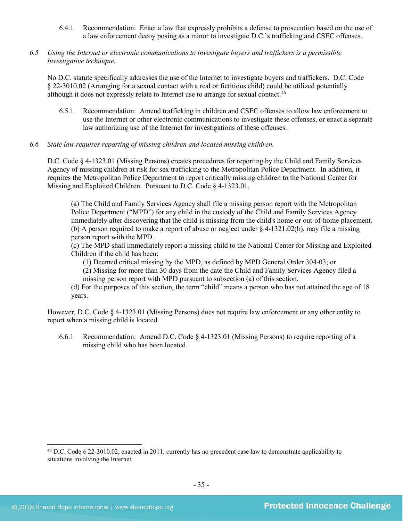- 6.4.1 Recommendation: Enact a law that expressly prohibits a defense to prosecution based on the use of a law enforcement decoy posing as a minor to investigate D.C.'s trafficking and CSEC offenses.
- *6.5 Using the Internet or electronic communications to investigate buyers and traffickers is a permissible investigative technique.*

No D.C. statute specifically addresses the use of the Internet to investigate buyers and traffickers. D.C. Code § 22-3010.02 (Arranging for a sexual contact with a real or fictitious child) could be utilized potentially although it does not expressly relate to Internet use to arrange for sexual contact.<sup>46</sup>

- 6.5.1 Recommendation: Amend trafficking in children and CSEC offenses to allow law enforcement to use the Internet or other electronic communications to investigate these offenses, or enact a separate law authorizing use of the Internet for investigations of these offenses.
- *6.6 State law requires reporting of missing children and located missing children.*

D.C. Code § 4-1323.01 (Missing Persons) creates procedures for reporting by the Child and Family Services Agency of missing children at risk for sex trafficking to the Metropolitan Police Department. In addition, it requires the Metropolitan Police Department to report critically missing children to the National Center for Missing and Exploited Children. Pursuant to D.C. Code § 4-1323.01,

(a) The Child and Family Services Agency shall file a missing person report with the Metropolitan Police Department ("MPD") for any child in the custody of the Child and Family Services Agency immediately after discovering that the child is missing from the child's home or out-of-home placement. (b) A person required to make a report of abuse or neglect under § 4-1321.02(b), may file a missing person report with the MPD.

(c) The MPD shall immediately report a missing child to the National Center for Missing and Exploited Children if the child has been:

(1) Deemed critical missing by the MPD, as defined by MPD General Order 304-03; or

(2) Missing for more than 30 days from the date the Child and Family Services Agency filed a missing person report with MPD pursuant to subsection (a) of this section.

(d) For the purposes of this section, the term "child" means a person who has not attained the age of 18 years.

However, D.C. Code § 4-1323.01 (Missing Persons) does not require law enforcement or any other entity to report when a missing child is located.

6.6.1 Recommendation: Amend D.C. Code § 4-1323.01 (Missing Persons) to require reporting of a missing child who has been located.

<span id="page-34-0"></span><sup>46</sup> D.C. Code § 22-3010.02, enacted in 2011, currently has no precedent case law to demonstrate applicability to situations involving the Internet.